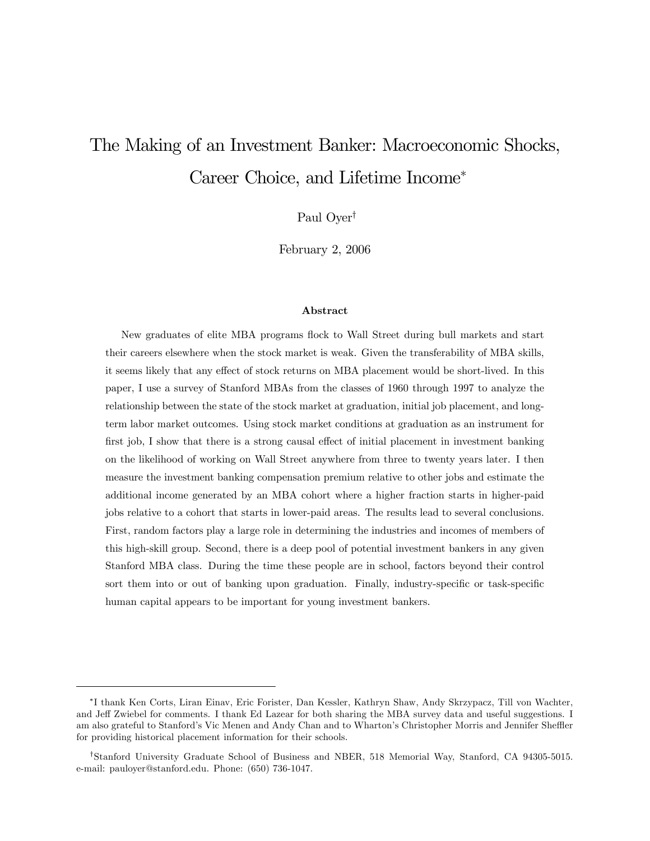# The Making of an Investment Banker: Macroeconomic Shocks, Career Choice, and Lifetime Income<sup>∗</sup>

Paul Oyer†

February 2, 2006

#### Abstract

New graduates of elite MBA programs flock to Wall Street during bull markets and start their careers elsewhere when the stock market is weak. Given the transferability of MBA skills, it seems likely that any effect of stock returns on MBA placement would be short-lived. In this paper, I use a survey of Stanford MBAs from the classes of 1960 through 1997 to analyze the relationship between the state of the stock market at graduation, initial job placement, and longterm labor market outcomes. Using stock market conditions at graduation as an instrument for first job, I show that there is a strong causal effect of initial placement in investment banking on the likelihood of working on Wall Street anywhere from three to twenty years later. I then measure the investment banking compensation premium relative to other jobs and estimate the additional income generated by an MBA cohort where a higher fraction starts in higher-paid jobs relative to a cohort that starts in lower-paid areas. The results lead to several conclusions. First, random factors play a large role in determining the industries and incomes of members of this high-skill group. Second, there is a deep pool of potential investment bankers in any given Stanford MBA class. During the time these people are in school, factors beyond their control sort them into or out of banking upon graduation. Finally, industry-specific or task-specific human capital appears to be important for young investment bankers.

<sup>∗</sup>I thank Ken Corts, Liran Einav, Eric Forister, Dan Kessler, Kathryn Shaw, Andy Skrzypacz, Till von Wachter, and Jeff Zwiebel for comments. I thank Ed Lazear for both sharing the MBA survey data and useful suggestions. I am also grateful to Stanford's Vic Menen and Andy Chan and to Wharton's Christopher Morris and Jennifer Sheffler for providing historical placement information for their schools.

<sup>†</sup>Stanford University Graduate School of Business and NBER, 518 Memorial Way, Stanford, CA 94305-5015. e-mail: pauloyer@stanford.edu. Phone: (650) 736-1047.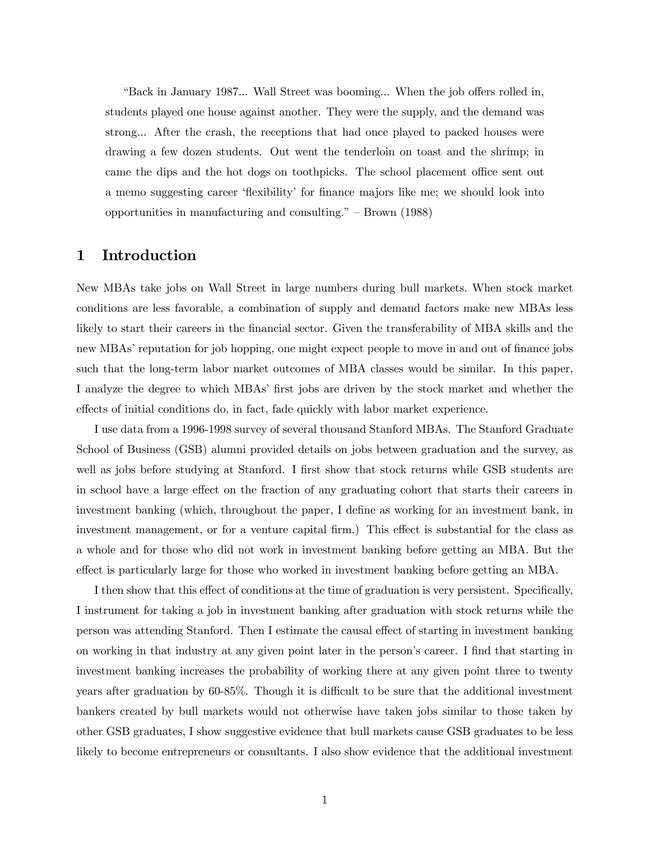"Back in January 1987... Wall Street was booming... When the job offers rolled in, students played one house against another. They were the supply, and the demand was strong... After the crash, the receptions that had once played to packed houses were drawing a few dozen students. Out went the tenderloin on toast and the shrimp; in came the dips and the hot dogs on toothpicks. The school placement office sent out a memo suggesting career 'flexibility' for finance majors like me; we should look into opportunities in manufacturing and consulting." — Brown (1988)

## 1 Introduction

New MBAs take jobs on Wall Street in large numbers during bull markets. When stock market conditions are less favorable, a combination of supply and demand factors make new MBAs less likely to start their careers in the financial sector. Given the transferability of MBA skills and the new MBAs' reputation for job hopping, one might expect people to move in and out of finance jobs such that the long-term labor market outcomes of MBA classes would be similar. In this paper, I analyze the degree to which MBAs' first jobs are driven by the stock market and whether the effects of initial conditions do, in fact, fade quickly with labor market experience.

I use data from a 1996-1998 survey of several thousand Stanford MBAs. The Stanford Graduate School of Business (GSB) alumni provided details on jobs between graduation and the survey, as well as jobs before studying at Stanford. I first show that stock returns while GSB students are in school have a large effect on the fraction of any graduating cohort that starts their careers in investment banking (which, throughout the paper, I define as working for an investment bank, in investment management, or for a venture capital firm.) This effect is substantial for the class as a whole and for those who did not work in investment banking before getting an MBA. But the effect is particularly large for those who worked in investment banking before getting an MBA.

I then show that this effect of conditions at the time of graduation is very persistent. Specifically, I instrument for taking a job in investment banking after graduation with stock returns while the person was attending Stanford. Then I estimate the causal effect of starting in investment banking on working in that industry at any given point later in the person's career. I find that starting in investment banking increases the probability of working there at any given point three to twenty years after graduation by 60-85%. Though it is difficult to be sure that the additional investment bankers created by bull markets would not otherwise have taken jobs similar to those taken by other GSB graduates, I show suggestive evidence that bull markets cause GSB graduates to be less likely to become entrepreneurs or consultants. I also show evidence that the additional investment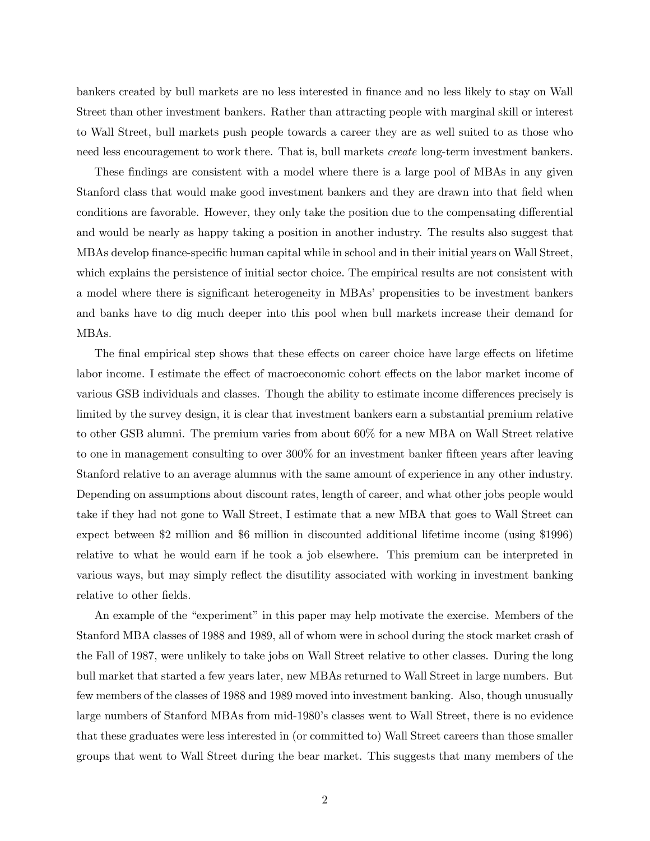bankers created by bull markets are no less interested in finance and no less likely to stay on Wall Street than other investment bankers. Rather than attracting people with marginal skill or interest to Wall Street, bull markets push people towards a career they are as well suited to as those who need less encouragement to work there. That is, bull markets create long-term investment bankers.

These findings are consistent with a model where there is a large pool of MBAs in any given Stanford class that would make good investment bankers and they are drawn into that field when conditions are favorable. However, they only take the position due to the compensating differential and would be nearly as happy taking a position in another industry. The results also suggest that MBAs develop finance-specific human capital while in school and in their initial years on Wall Street, which explains the persistence of initial sector choice. The empirical results are not consistent with a model where there is significant heterogeneity in MBAs' propensities to be investment bankers and banks have to dig much deeper into this pool when bull markets increase their demand for MBAs.

The final empirical step shows that these effects on career choice have large effects on lifetime labor income. I estimate the effect of macroeconomic cohort effects on the labor market income of various GSB individuals and classes. Though the ability to estimate income differences precisely is limited by the survey design, it is clear that investment bankers earn a substantial premium relative to other GSB alumni. The premium varies from about 60% for a new MBA on Wall Street relative to one in management consulting to over 300% for an investment banker fifteen years after leaving Stanford relative to an average alumnus with the same amount of experience in any other industry. Depending on assumptions about discount rates, length of career, and what other jobs people would take if they had not gone to Wall Street, I estimate that a new MBA that goes to Wall Street can expect between \$2 million and \$6 million in discounted additional lifetime income (using \$1996) relative to what he would earn if he took a job elsewhere. This premium can be interpreted in various ways, but may simply reflect the disutility associated with working in investment banking relative to other fields.

An example of the "experiment" in this paper may help motivate the exercise. Members of the Stanford MBA classes of 1988 and 1989, all of whom were in school during the stock market crash of the Fall of 1987, were unlikely to take jobs on Wall Street relative to other classes. During the long bull market that started a few years later, new MBAs returned to Wall Street in large numbers. But few members of the classes of 1988 and 1989 moved into investment banking. Also, though unusually large numbers of Stanford MBAs from mid-1980's classes went to Wall Street, there is no evidence that these graduates were less interested in (or committed to) Wall Street careers than those smaller groups that went to Wall Street during the bear market. This suggests that many members of the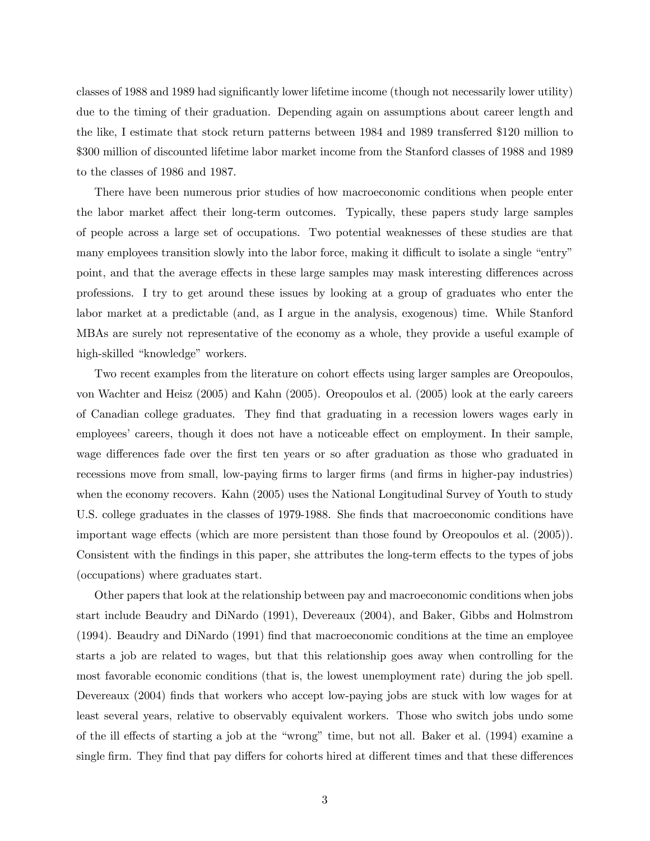classes of 1988 and 1989 had significantly lower lifetime income (though not necessarily lower utility) due to the timing of their graduation. Depending again on assumptions about career length and the like, I estimate that stock return patterns between 1984 and 1989 transferred \$120 million to \$300 million of discounted lifetime labor market income from the Stanford classes of 1988 and 1989 to the classes of 1986 and 1987.

There have been numerous prior studies of how macroeconomic conditions when people enter the labor market affect their long-term outcomes. Typically, these papers study large samples of people across a large set of occupations. Two potential weaknesses of these studies are that many employees transition slowly into the labor force, making it difficult to isolate a single "entry" point, and that the average effects in these large samples may mask interesting differences across professions. I try to get around these issues by looking at a group of graduates who enter the labor market at a predictable (and, as I argue in the analysis, exogenous) time. While Stanford MBAs are surely not representative of the economy as a whole, they provide a useful example of high-skilled "knowledge" workers.

Two recent examples from the literature on cohort effects using larger samples are Oreopoulos, von Wachter and Heisz (2005) and Kahn (2005). Oreopoulos et al. (2005) look at the early careers of Canadian college graduates. They find that graduating in a recession lowers wages early in employees' careers, though it does not have a noticeable effect on employment. In their sample, wage differences fade over the first ten years or so after graduation as those who graduated in recessions move from small, low-paying firms to larger firms (and firms in higher-pay industries) when the economy recovers. Kahn (2005) uses the National Longitudinal Survey of Youth to study U.S. college graduates in the classes of 1979-1988. She finds that macroeconomic conditions have important wage effects (which are more persistent than those found by Oreopoulos et al. (2005)). Consistent with the findings in this paper, she attributes the long-term effects to the types of jobs (occupations) where graduates start.

Other papers that look at the relationship between pay and macroeconomic conditions when jobs start include Beaudry and DiNardo (1991), Devereaux (2004), and Baker, Gibbs and Holmstrom (1994). Beaudry and DiNardo (1991) find that macroeconomic conditions at the time an employee starts a job are related to wages, but that this relationship goes away when controlling for the most favorable economic conditions (that is, the lowest unemployment rate) during the job spell. Devereaux (2004) finds that workers who accept low-paying jobs are stuck with low wages for at least several years, relative to observably equivalent workers. Those who switch jobs undo some of the ill effects of starting a job at the "wrong" time, but not all. Baker et al. (1994) examine a single firm. They find that pay differs for cohorts hired at different times and that these differences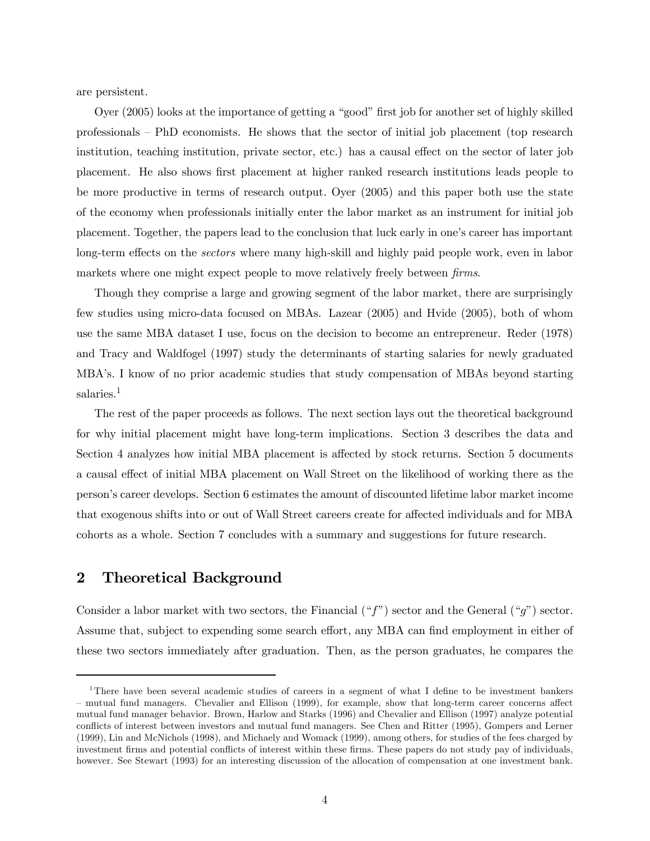are persistent.

Oyer (2005) looks at the importance of getting a "good" first job for another set of highly skilled professionals — PhD economists. He shows that the sector of initial job placement (top research institution, teaching institution, private sector, etc.) has a causal effect on the sector of later job placement. He also shows first placement at higher ranked research institutions leads people to be more productive in terms of research output. Oyer (2005) and this paper both use the state of the economy when professionals initially enter the labor market as an instrument for initial job placement. Together, the papers lead to the conclusion that luck early in one's career has important long-term effects on the sectors where many high-skill and highly paid people work, even in labor markets where one might expect people to move relatively freely between *firms*.

Though they comprise a large and growing segment of the labor market, there are surprisingly few studies using micro-data focused on MBAs. Lazear (2005) and Hvide (2005), both of whom use the same MBA dataset I use, focus on the decision to become an entrepreneur. Reder (1978) and Tracy and Waldfogel (1997) study the determinants of starting salaries for newly graduated MBA's. I know of no prior academic studies that study compensation of MBAs beyond starting salaries.<sup>1</sup>

The rest of the paper proceeds as follows. The next section lays out the theoretical background for why initial placement might have long-term implications. Section 3 describes the data and Section 4 analyzes how initial MBA placement is affected by stock returns. Section 5 documents a causal effect of initial MBA placement on Wall Street on the likelihood of working there as the person's career develops. Section 6 estimates the amount of discounted lifetime labor market income that exogenous shifts into or out of Wall Street careers create for affected individuals and for MBA cohorts as a whole. Section 7 concludes with a summary and suggestions for future research.

# 2 Theoretical Background

Consider a labor market with two sectors, the Financial  $( "f")$  sector and the General  $( "g")$  sector. Assume that, subject to expending some search effort, any MBA can find employment in either of these two sectors immediately after graduation. Then, as the person graduates, he compares the

<sup>1</sup>There have been several academic studies of careers in a segment of what I define to be investment bankers — mutual fund managers. Chevalier and Ellison (1999), for example, show that long-term career concerns affect mutual fund manager behavior. Brown, Harlow and Starks (1996) and Chevalier and Ellison (1997) analyze potential conflicts of interest between investors and mutual fund managers. See Chen and Ritter (1995), Gompers and Lerner (1999), Lin and McNichols (1998), and Michaely and Womack (1999), among others, for studies of the fees charged by investment firms and potential conflicts of interest within these firms. These papers do not study pay of individuals, however. See Stewart (1993) for an interesting discussion of the allocation of compensation at one investment bank.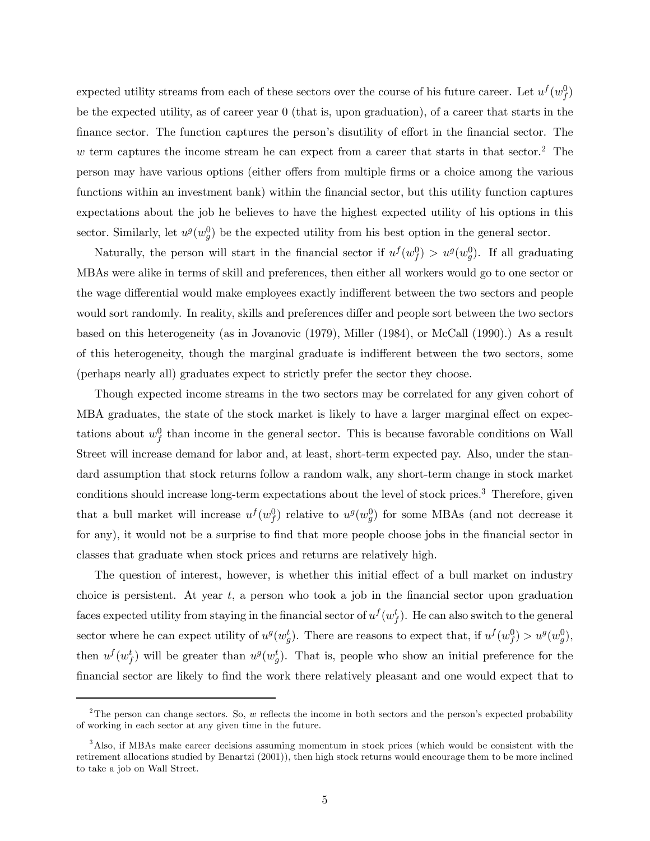expected utility streams from each of these sectors over the course of his future career. Let  $u^f(w_f^0)$ be the expected utility, as of career year 0 (that is, upon graduation), of a career that starts in the finance sector. The function captures the person's disutility of effort in the financial sector. The  $w$  term captures the income stream he can expect from a career that starts in that sector.<sup>2</sup> The person may have various options (either offers from multiple firms or a choice among the various functions within an investment bank) within the financial sector, but this utility function captures expectations about the job he believes to have the highest expected utility of his options in this sector. Similarly, let  $u^g(w_g^0)$  be the expected utility from his best option in the general sector.

Naturally, the person will start in the financial sector if  $u^f(w_f^0) > u^g(w_g^0)$ . If all graduating MBAs were alike in terms of skill and preferences, then either all workers would go to one sector or the wage differential would make employees exactly indifferent between the two sectors and people would sort randomly. In reality, skills and preferences differ and people sort between the two sectors based on this heterogeneity (as in Jovanovic (1979), Miller (1984), or McCall (1990).) As a result of this heterogeneity, though the marginal graduate is indifferent between the two sectors, some (perhaps nearly all) graduates expect to strictly prefer the sector they choose.

Though expected income streams in the two sectors may be correlated for any given cohort of MBA graduates, the state of the stock market is likely to have a larger marginal effect on expectations about  $w_f^0$  than income in the general sector. This is because favorable conditions on Wall Street will increase demand for labor and, at least, short-term expected pay. Also, under the standard assumption that stock returns follow a random walk, any short-term change in stock market conditions should increase long-term expectations about the level of stock prices.3 Therefore, given that a bull market will increase  $u^f(w_f^0)$  relative to  $u^g(w_g^0)$  for some MBAs (and not decrease it for any), it would not be a surprise to find that more people choose jobs in the financial sector in classes that graduate when stock prices and returns are relatively high.

The question of interest, however, is whether this initial effect of a bull market on industry choice is persistent. At year  $t$ , a person who took a job in the financial sector upon graduation faces expected utility from staying in the financial sector of  $u^f(w_f^t)$ . He can also switch to the general sector where he can expect utility of  $u^g(w_g^t)$ . There are reasons to expect that, if  $u^f(w_f^0) > u^g(w_g^0)$ , then  $u^f(w_f^t)$  will be greater than  $u^g(w_g^t)$ . That is, people who show an initial preference for the financial sector are likely to find the work there relatively pleasant and one would expect that to

<sup>&</sup>lt;sup>2</sup>The person can change sectors. So, w reflects the income in both sectors and the person's expected probability of working in each sector at any given time in the future.

<sup>&</sup>lt;sup>3</sup>Also, if MBAs make career decisions assuming momentum in stock prices (which would be consistent with the retirement allocations studied by Benartzi (2001)), then high stock returns would encourage them to be more inclined to take a job on Wall Street.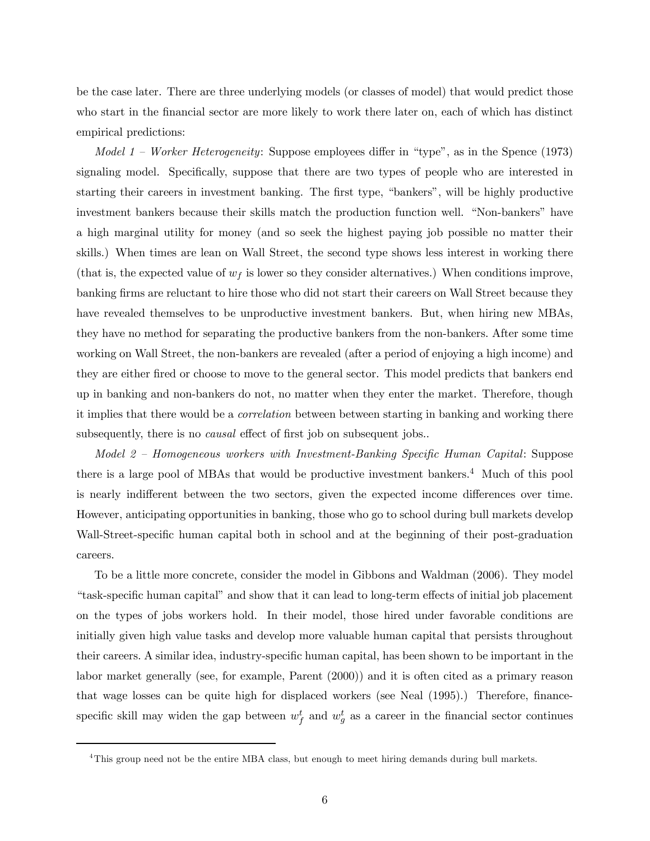be the case later. There are three underlying models (or classes of model) that would predict those who start in the financial sector are more likely to work there later on, each of which has distinct empirical predictions:

Model 1 – Worker Heterogeneity: Suppose employees differ in "type", as in the Spence (1973) signaling model. Specifically, suppose that there are two types of people who are interested in starting their careers in investment banking. The first type, "bankers", will be highly productive investment bankers because their skills match the production function well. "Non-bankers" have a high marginal utility for money (and so seek the highest paying job possible no matter their skills.) When times are lean on Wall Street, the second type shows less interest in working there (that is, the expected value of  $w_f$  is lower so they consider alternatives.) When conditions improve, banking firms are reluctant to hire those who did not start their careers on Wall Street because they have revealed themselves to be unproductive investment bankers. But, when hiring new MBAs, they have no method for separating the productive bankers from the non-bankers. After some time working on Wall Street, the non-bankers are revealed (after a period of enjoying a high income) and they are either fired or choose to move to the general sector. This model predicts that bankers end up in banking and non-bankers do not, no matter when they enter the market. Therefore, though it implies that there would be a correlation between between starting in banking and working there subsequently, there is no *causal* effect of first job on subsequent jobs...

Model 2 — Homogeneous workers with Investment-Banking Specific Human Capital: Suppose there is a large pool of MBAs that would be productive investment bankers.<sup>4</sup> Much of this pool is nearly indifferent between the two sectors, given the expected income differences over time. However, anticipating opportunities in banking, those who go to school during bull markets develop Wall-Street-specific human capital both in school and at the beginning of their post-graduation careers.

To be a little more concrete, consider the model in Gibbons and Waldman (2006). They model "task-specific human capital" and show that it can lead to long-term effects of initial job placement on the types of jobs workers hold. In their model, those hired under favorable conditions are initially given high value tasks and develop more valuable human capital that persists throughout their careers. A similar idea, industry-specific human capital, has been shown to be important in the labor market generally (see, for example, Parent (2000)) and it is often cited as a primary reason that wage losses can be quite high for displaced workers (see Neal (1995).) Therefore, financespecific skill may widen the gap between  $w_f^t$  and  $w_g^t$  as a career in the financial sector continues

<sup>&</sup>lt;sup>4</sup>This group need not be the entire MBA class, but enough to meet hiring demands during bull markets.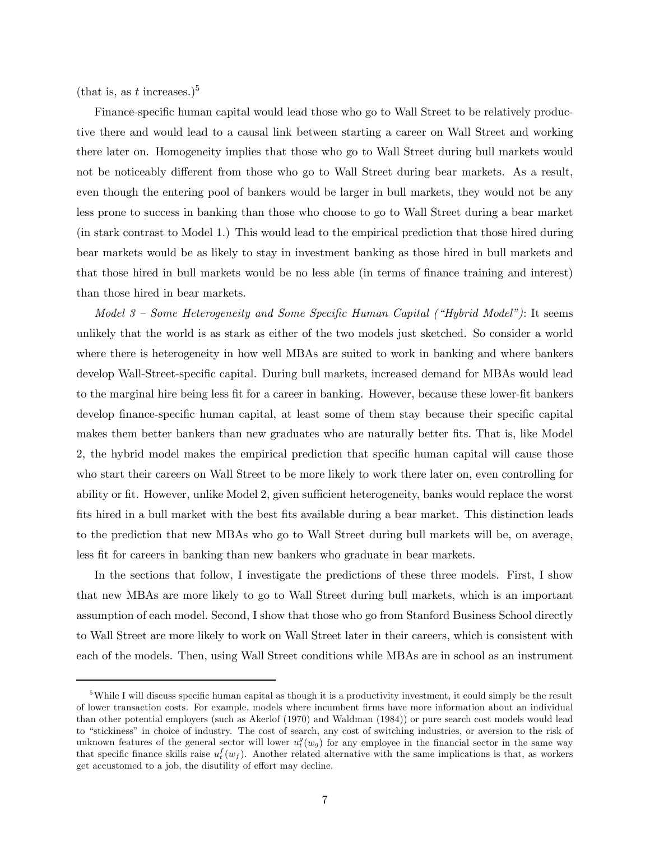(that is, as t increases.)<sup>5</sup>

Finance-specific human capital would lead those who go to Wall Street to be relatively productive there and would lead to a causal link between starting a career on Wall Street and working there later on. Homogeneity implies that those who go to Wall Street during bull markets would not be noticeably different from those who go to Wall Street during bear markets. As a result, even though the entering pool of bankers would be larger in bull markets, they would not be any less prone to success in banking than those who choose to go to Wall Street during a bear market (in stark contrast to Model 1.) This would lead to the empirical prediction that those hired during bear markets would be as likely to stay in investment banking as those hired in bull markets and that those hired in bull markets would be no less able (in terms of finance training and interest) than those hired in bear markets.

Model 3 — Some Heterogeneity and Some Specific Human Capital ("Hybrid Model"): It seems unlikely that the world is as stark as either of the two models just sketched. So consider a world where there is heterogeneity in how well MBAs are suited to work in banking and where bankers develop Wall-Street-specific capital. During bull markets, increased demand for MBAs would lead to the marginal hire being less fit for a career in banking. However, because these lower-fit bankers develop finance-specific human capital, at least some of them stay because their specific capital makes them better bankers than new graduates who are naturally better fits. That is, like Model 2, the hybrid model makes the empirical prediction that specific human capital will cause those who start their careers on Wall Street to be more likely to work there later on, even controlling for ability or fit. However, unlike Model 2, given sufficient heterogeneity, banks would replace the worst fits hired in a bull market with the best fits available during a bear market. This distinction leads to the prediction that new MBAs who go to Wall Street during bull markets will be, on average, less fit for careers in banking than new bankers who graduate in bear markets.

In the sections that follow, I investigate the predictions of these three models. First, I show that new MBAs are more likely to go to Wall Street during bull markets, which is an important assumption of each model. Second, I show that those who go from Stanford Business School directly to Wall Street are more likely to work on Wall Street later in their careers, which is consistent with each of the models. Then, using Wall Street conditions while MBAs are in school as an instrument

<sup>&</sup>lt;sup>5</sup>While I will discuss specific human capital as though it is a productivity investment, it could simply be the result of lower transaction costs. For example, models where incumbent firms have more information about an individual than other potential employers (such as Akerlof (1970) and Waldman (1984)) or pure search cost models would lead to "stickiness" in choice of industry. The cost of search, any cost of switching industries, or aversion to the risk of unknown features of the general sector will lower  $u_t^g(w_g)$  for any employee in the financial sector in the same way that specific finance skills raise  $u_t^f(w_f)$ . Another related alternative with the same implications is that, as workers get accustomed to a job, the disutility of effort may decline.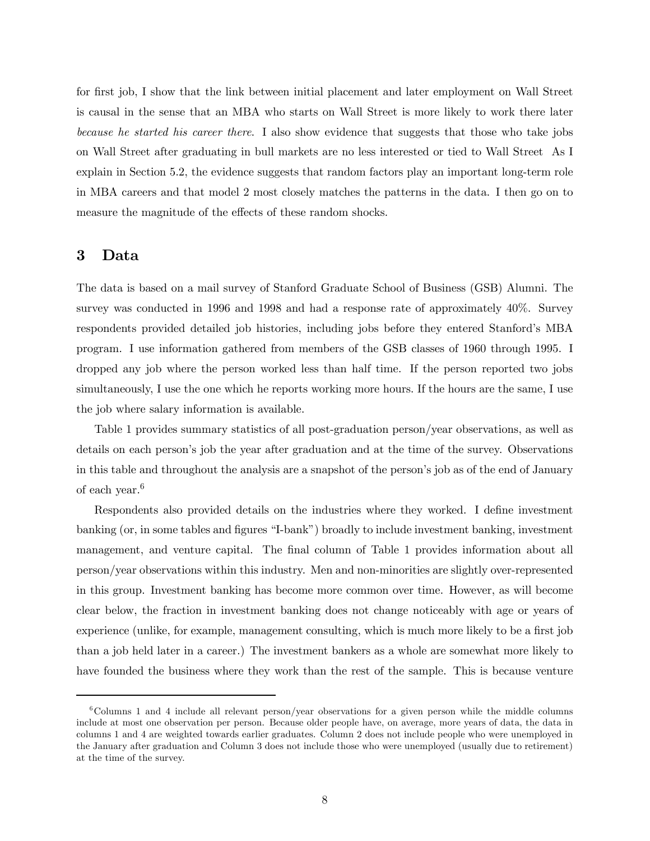for first job, I show that the link between initial placement and later employment on Wall Street is causal in the sense that an MBA who starts on Wall Street is more likely to work there later because he started his career there. I also show evidence that suggests that those who take jobs on Wall Street after graduating in bull markets are no less interested or tied to Wall Street As I explain in Section 5.2, the evidence suggests that random factors play an important long-term role in MBA careers and that model 2 most closely matches the patterns in the data. I then go on to measure the magnitude of the effects of these random shocks.

#### 3 Data

The data is based on a mail survey of Stanford Graduate School of Business (GSB) Alumni. The survey was conducted in 1996 and 1998 and had a response rate of approximately 40%. Survey respondents provided detailed job histories, including jobs before they entered Stanford's MBA program. I use information gathered from members of the GSB classes of 1960 through 1995. I dropped any job where the person worked less than half time. If the person reported two jobs simultaneously, I use the one which he reports working more hours. If the hours are the same, I use the job where salary information is available.

Table 1 provides summary statistics of all post-graduation person/year observations, as well as details on each person's job the year after graduation and at the time of the survey. Observations in this table and throughout the analysis are a snapshot of the person's job as of the end of January of each year.6

Respondents also provided details on the industries where they worked. I define investment banking (or, in some tables and figures "I-bank") broadly to include investment banking, investment management, and venture capital. The final column of Table 1 provides information about all person/year observations within this industry. Men and non-minorities are slightly over-represented in this group. Investment banking has become more common over time. However, as will become clear below, the fraction in investment banking does not change noticeably with age or years of experience (unlike, for example, management consulting, which is much more likely to be a first job than a job held later in a career.) The investment bankers as a whole are somewhat more likely to have founded the business where they work than the rest of the sample. This is because venture

 $6^6$ Columns 1 and 4 include all relevant person/year observations for a given person while the middle columns include at most one observation per person. Because older people have, on average, more years of data, the data in columns 1 and 4 are weighted towards earlier graduates. Column 2 does not include people who were unemployed in the January after graduation and Column 3 does not include those who were unemployed (usually due to retirement) at the time of the survey.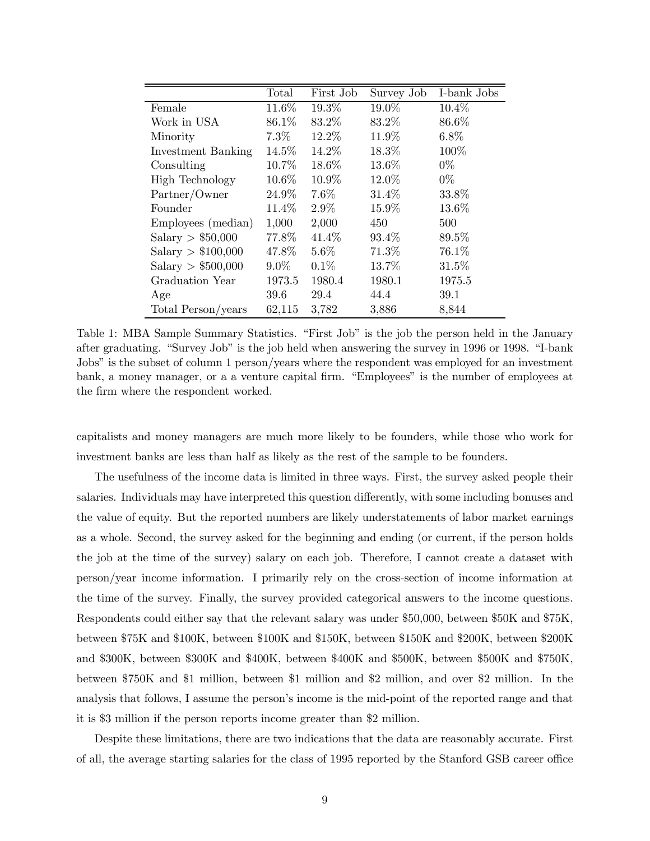|                        | Total    | First Job | Survey Job | I-bank Jobs |
|------------------------|----------|-----------|------------|-------------|
| Female                 | $11.6\%$ | 19.3%     | 19.0%      | $10.4\%$    |
| Work in USA            | 86.1%    | 83.2%     | 83.2%      | 86.6%       |
| Minority               | $7.3\%$  | 12.2%     | 11.9%      | $6.8\%$     |
| Investment Banking     | $14.5\%$ | 14.2%     | 18.3%      | 100%        |
| Consulting             | 10.7%    | 18.6%     | 13.6%      | $0\%$       |
| <b>High Technology</b> | $10.6\%$ | 10.9%     | 12.0%      | $0\%$       |
| Partner/Owner          | 24.9%    | 7.6%      | 31.4%      | 33.8%       |
| Founder                | 11.4%    | $2.9\%$   | 15.9%      | 13.6%       |
| Employees (median)     | 1,000    | 2,000     | 450        | 500         |
| Salary $> $50,000$     | 77.8%    | 41.4%     | 93.4%      | 89.5%       |
| Salary > \$100,000     | 47.8%    | $5.6\%$   | 71.3%      | 76.1%       |
| Salary > \$500,000     | $9.0\%$  | 0.1%      | 13.7%      | 31.5%       |
| Graduation Year        | 1973.5   | 1980.4    | 1980.1     | 1975.5      |
| Age                    | 39.6     | 29.4      | 44.4       | 39.1        |
| Total Person/years     | 62,115   | 3,782     | 3,886      | 8,844       |

Table 1: MBA Sample Summary Statistics. "First Job" is the job the person held in the January after graduating. "Survey Job" is the job held when answering the survey in 1996 or 1998. "I-bank Jobs" is the subset of column 1 person/years where the respondent was employed for an investment bank, a money manager, or a a venture capital firm. "Employees" is the number of employees at the firm where the respondent worked.

capitalists and money managers are much more likely to be founders, while those who work for investment banks are less than half as likely as the rest of the sample to be founders.

The usefulness of the income data is limited in three ways. First, the survey asked people their salaries. Individuals may have interpreted this question differently, with some including bonuses and the value of equity. But the reported numbers are likely understatements of labor market earnings as a whole. Second, the survey asked for the beginning and ending (or current, if the person holds the job at the time of the survey) salary on each job. Therefore, I cannot create a dataset with person/year income information. I primarily rely on the cross-section of income information at the time of the survey. Finally, the survey provided categorical answers to the income questions. Respondents could either say that the relevant salary was under \$50,000, between \$50K and \$75K, between \$75K and \$100K, between \$100K and \$150K, between \$150K and \$200K, between \$200K and \$300K, between \$300K and \$400K, between \$400K and \$500K, between \$500K and \$750K, between \$750K and \$1 million, between \$1 million and \$2 million, and over \$2 million. In the analysis that follows, I assume the person's income is the mid-point of the reported range and that it is \$3 million if the person reports income greater than \$2 million.

Despite these limitations, there are two indications that the data are reasonably accurate. First of all, the average starting salaries for the class of 1995 reported by the Stanford GSB career office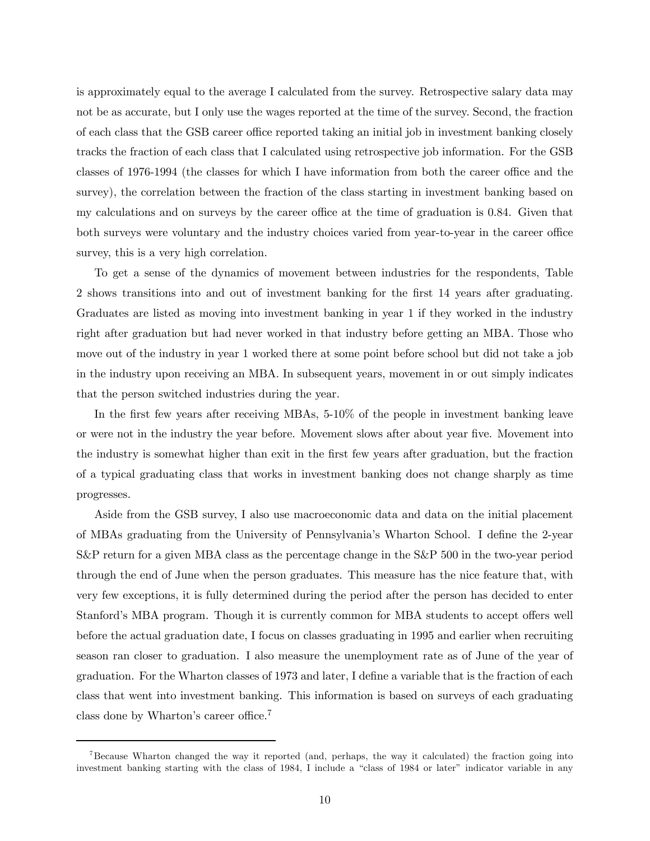is approximately equal to the average I calculated from the survey. Retrospective salary data may not be as accurate, but I only use the wages reported at the time of the survey. Second, the fraction of each class that the GSB career office reported taking an initial job in investment banking closely tracks the fraction of each class that I calculated using retrospective job information. For the GSB classes of 1976-1994 (the classes for which I have information from both the career office and the survey), the correlation between the fraction of the class starting in investment banking based on my calculations and on surveys by the career office at the time of graduation is 0.84. Given that both surveys were voluntary and the industry choices varied from year-to-year in the career office survey, this is a very high correlation.

To get a sense of the dynamics of movement between industries for the respondents, Table 2 shows transitions into and out of investment banking for the first 14 years after graduating. Graduates are listed as moving into investment banking in year 1 if they worked in the industry right after graduation but had never worked in that industry before getting an MBA. Those who move out of the industry in year 1 worked there at some point before school but did not take a job in the industry upon receiving an MBA. In subsequent years, movement in or out simply indicates that the person switched industries during the year.

In the first few years after receiving MBAs, 5-10% of the people in investment banking leave or were not in the industry the year before. Movement slows after about year five. Movement into the industry is somewhat higher than exit in the first few years after graduation, but the fraction of a typical graduating class that works in investment banking does not change sharply as time progresses.

Aside from the GSB survey, I also use macroeconomic data and data on the initial placement of MBAs graduating from the University of Pennsylvania's Wharton School. I define the 2-year S&P return for a given MBA class as the percentage change in the S&P 500 in the two-year period through the end of June when the person graduates. This measure has the nice feature that, with very few exceptions, it is fully determined during the period after the person has decided to enter Stanford's MBA program. Though it is currently common for MBA students to accept offers well before the actual graduation date, I focus on classes graduating in 1995 and earlier when recruiting season ran closer to graduation. I also measure the unemployment rate as of June of the year of graduation. For the Wharton classes of 1973 and later, I define a variable that is the fraction of each class that went into investment banking. This information is based on surveys of each graduating class done by Wharton's career office.<sup>7</sup>

<sup>7</sup>Because Wharton changed the way it reported (and, perhaps, the way it calculated) the fraction going into investment banking starting with the class of 1984, I include a "class of 1984 or later" indicator variable in any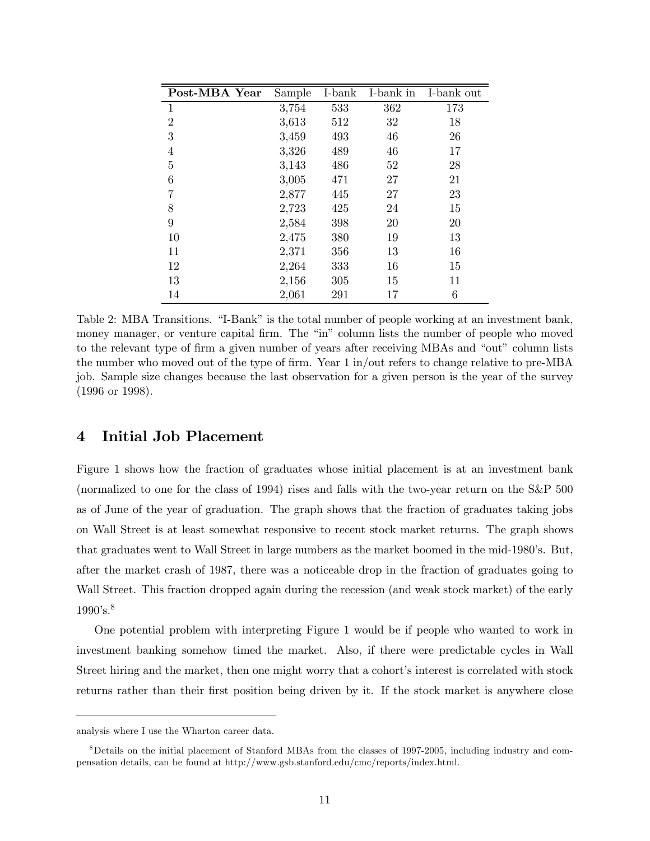| Post-MBA Year  | Sample | I-bank | I-bank in | I-bank out |
|----------------|--------|--------|-----------|------------|
| 1              | 3,754  | 533    | 362       | 173        |
| $\overline{2}$ | 3,613  | 512    | 32        | 18         |
| 3              | 3,459  | 493    | 46        | 26         |
| $\overline{4}$ | 3,326  | 489    | 46        | 17         |
| 5              | 3,143  | 486    | 52        | 28         |
| 6              | 3,005  | 471    | 27        | 21         |
| 7              | 2,877  | 445    | 27        | 23         |
| 8              | 2,723  | 425    | 24        | 15         |
| 9              | 2,584  | 398    | 20        | 20         |
| 10             | 2,475  | 380    | 19        | 13         |
| 11             | 2,371  | 356    | 13        | 16         |
| 12             | 2,264  | 333    | 16        | 15         |
| 13             | 2,156  | 305    | 15        | 11         |
| 14             | 2,061  | 291    | 17        | 6          |

Table 2: MBA Transitions. "I-Bank" is the total number of people working at an investment bank, money manager, or venture capital firm. The "in" column lists the number of people who moved to the relevant type of firm a given number of years after receiving MBAs and "out" column lists the number who moved out of the type of firm. Year 1 in/out refers to change relative to pre-MBA job. Sample size changes because the last observation for a given person is the year of the survey (1996 or 1998).

# 4 Initial Job Placement

Figure 1 shows how the fraction of graduates whose initial placement is at an investment bank (normalized to one for the class of 1994) rises and falls with the two-year return on the S&P 500 as of June of the year of graduation. The graph shows that the fraction of graduates taking jobs on Wall Street is at least somewhat responsive to recent stock market returns. The graph shows that graduates went to Wall Street in large numbers as the market boomed in the mid-1980's. But, after the market crash of 1987, there was a noticeable drop in the fraction of graduates going to Wall Street. This fraction dropped again during the recession (and weak stock market) of the early  $1990's.^8$ 

One potential problem with interpreting Figure 1 would be if people who wanted to work in investment banking somehow timed the market. Also, if there were predictable cycles in Wall Street hiring and the market, then one might worry that a cohort's interest is correlated with stock returns rather than their first position being driven by it. If the stock market is anywhere close

analysis where I use the Wharton career data.

<sup>8</sup>Details on the initial placement of Stanford MBAs from the classes of 1997-2005, including industry and compensation details, can be found at http://www.gsb.stanford.edu/cmc/reports/index.html.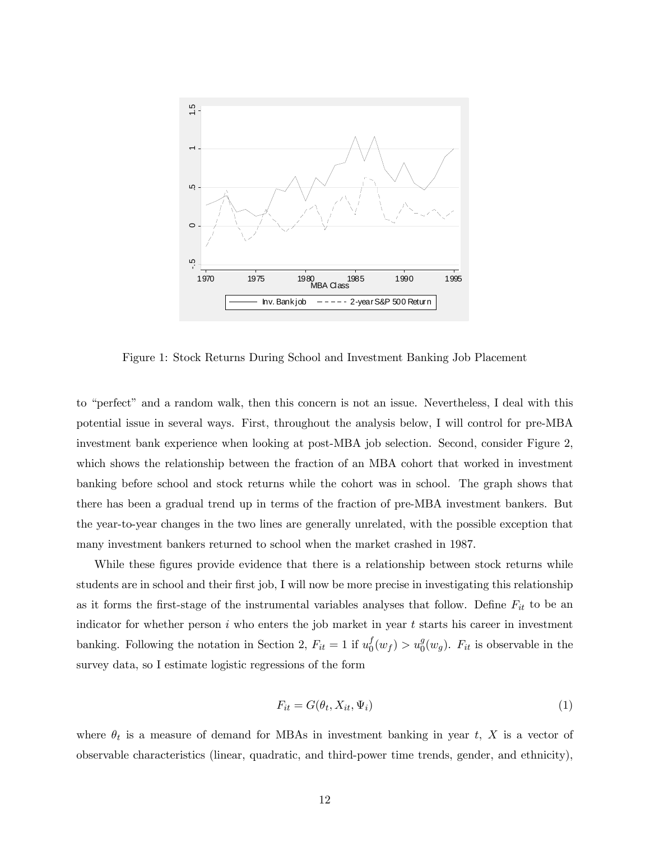

Figure 1: Stock Returns During School and Investment Banking Job Placement

to "perfect" and a random walk, then this concern is not an issue. Nevertheless, I deal with this potential issue in several ways. First, throughout the analysis below, I will control for pre-MBA investment bank experience when looking at post-MBA job selection. Second, consider Figure 2, which shows the relationship between the fraction of an MBA cohort that worked in investment banking before school and stock returns while the cohort was in school. The graph shows that there has been a gradual trend up in terms of the fraction of pre-MBA investment bankers. But the year-to-year changes in the two lines are generally unrelated, with the possible exception that many investment bankers returned to school when the market crashed in 1987.

While these figures provide evidence that there is a relationship between stock returns while students are in school and their first job, I will now be more precise in investigating this relationship as it forms the first-stage of the instrumental variables analyses that follow. Define  $F_{it}$  to be an indicator for whether person  $i$  who enters the job market in year  $t$  starts his career in investment banking. Following the notation in Section 2,  $F_{it} = 1$  if  $u_0^f(w_f) > u_0^g(w_g)$ .  $F_{it}$  is observable in the survey data, so I estimate logistic regressions of the form

$$
F_{it} = G(\theta_t, X_{it}, \Psi_i) \tag{1}
$$

where  $\theta_t$  is a measure of demand for MBAs in investment banking in year t, X is a vector of observable characteristics (linear, quadratic, and third-power time trends, gender, and ethnicity),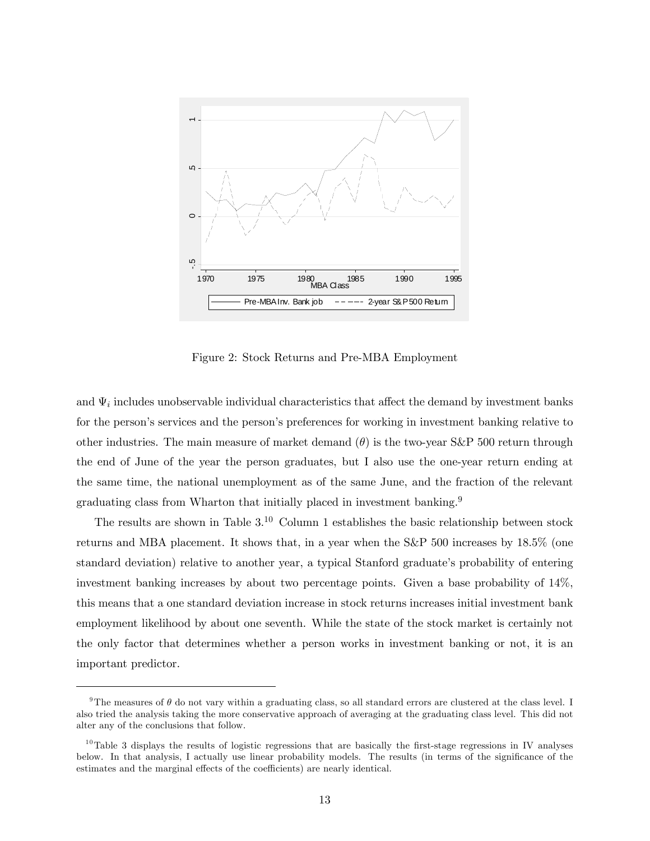

Figure 2: Stock Returns and Pre-MBA Employment

and  $\Psi_i$  includes unobservable individual characteristics that affect the demand by investment banks for the person's services and the person's preferences for working in investment banking relative to other industries. The main measure of market demand  $(\theta)$  is the two-year S&P 500 return through the end of June of the year the person graduates, but I also use the one-year return ending at the same time, the national unemployment as of the same June, and the fraction of the relevant graduating class from Wharton that initially placed in investment banking.<sup>9</sup>

The results are shown in Table  $3^{10}$  Column 1 establishes the basic relationship between stock returns and MBA placement. It shows that, in a year when the S&P 500 increases by 18.5% (one standard deviation) relative to another year, a typical Stanford graduate's probability of entering investment banking increases by about two percentage points. Given a base probability of 14%, this means that a one standard deviation increase in stock returns increases initial investment bank employment likelihood by about one seventh. While the state of the stock market is certainly not the only factor that determines whether a person works in investment banking or not, it is an important predictor.

<sup>&</sup>lt;sup>9</sup>The measures of  $\theta$  do not vary within a graduating class, so all standard errors are clustered at the class level. I also tried the analysis taking the more conservative approach of averaging at the graduating class level. This did not alter any of the conclusions that follow.

 $10$ Table 3 displays the results of logistic regressions that are basically the first-stage regressions in IV analyses below. In that analysis, I actually use linear probability models. The results (in terms of the significance of the estimates and the marginal effects of the coefficients) are nearly identical.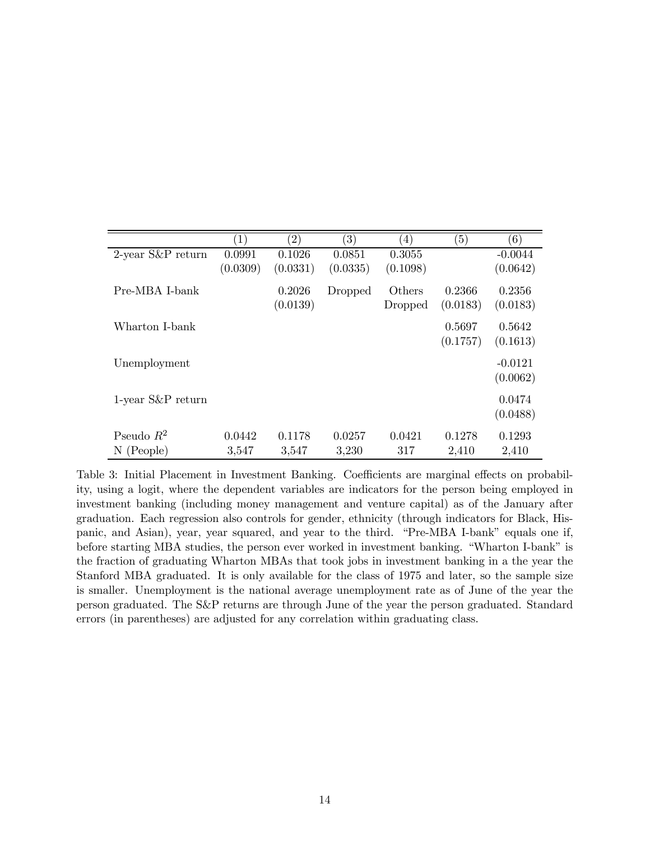|                      | $\left( 1\right)$ | (2)      | $\left( 3\right)$ | $\left( 4\right)$ | (5)      | (6)       |
|----------------------|-------------------|----------|-------------------|-------------------|----------|-----------|
| $2$ -year S&P return | 0.0991            | 0.1026   | 0.0851            | 0.3055            |          | $-0.0044$ |
|                      | (0.0309)          | (0.0331) | (0.0335)          | (0.1098)          |          | (0.0642)  |
| Pre-MBA I-bank       |                   | 0.2026   | Dropped           | Others            | 0.2366   | 0.2356    |
|                      |                   | (0.0139) |                   | Dropped           | (0.0183) | (0.0183)  |
| Wharton I-bank       |                   |          |                   |                   | 0.5697   | 0.5642    |
|                      |                   |          |                   |                   | (0.1757) | (0.1613)  |
| Unemployment         |                   |          |                   |                   |          | $-0.0121$ |
|                      |                   |          |                   |                   |          | (0.0062)  |
| $1$ -year S&P return |                   |          |                   |                   |          | 0.0474    |
|                      |                   |          |                   |                   |          | (0.0488)  |
| Pseudo $R^2$         | 0.0442            | 0.1178   | 0.0257            | 0.0421            | 0.1278   | 0.1293    |
| $N$ (People)         | 3,547             | 3,547    | 3,230             | 317               | 2,410    | 2,410     |

Table 3: Initial Placement in Investment Banking. Coefficients are marginal effects on probability, using a logit, where the dependent variables are indicators for the person being employed in investment banking (including money management and venture capital) as of the January after graduation. Each regression also controls for gender, ethnicity (through indicators for Black, Hispanic, and Asian), year, year squared, and year to the third. "Pre-MBA I-bank" equals one if, before starting MBA studies, the person ever worked in investment banking. "Wharton I-bank" is the fraction of graduating Wharton MBAs that took jobs in investment banking in a the year the Stanford MBA graduated. It is only available for the class of 1975 and later, so the sample size is smaller. Unemployment is the national average unemployment rate as of June of the year the person graduated. The S&P returns are through June of the year the person graduated. Standard errors (in parentheses) are adjusted for any correlation within graduating class.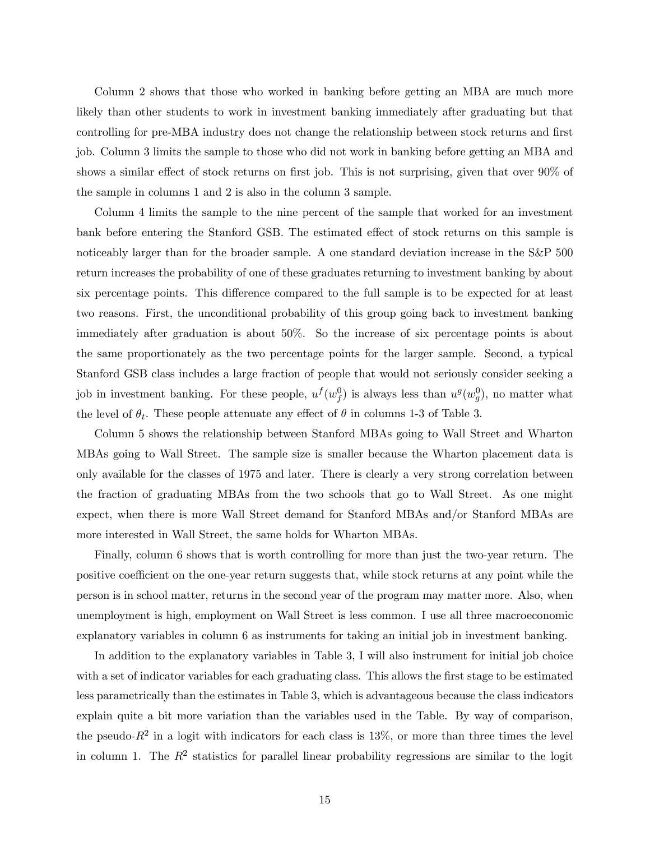Column 2 shows that those who worked in banking before getting an MBA are much more likely than other students to work in investment banking immediately after graduating but that controlling for pre-MBA industry does not change the relationship between stock returns and first job. Column 3 limits the sample to those who did not work in banking before getting an MBA and shows a similar effect of stock returns on first job. This is not surprising, given that over 90% of the sample in columns 1 and 2 is also in the column 3 sample.

Column 4 limits the sample to the nine percent of the sample that worked for an investment bank before entering the Stanford GSB. The estimated effect of stock returns on this sample is noticeably larger than for the broader sample. A one standard deviation increase in the S&P 500 return increases the probability of one of these graduates returning to investment banking by about six percentage points. This difference compared to the full sample is to be expected for at least two reasons. First, the unconditional probability of this group going back to investment banking immediately after graduation is about 50%. So the increase of six percentage points is about the same proportionately as the two percentage points for the larger sample. Second, a typical Stanford GSB class includes a large fraction of people that would not seriously consider seeking a job in investment banking. For these people,  $u^f(w_f^0)$  is always less than  $u^g(w_g^0)$ , no matter what the level of  $\theta_t$ . These people attenuate any effect of  $\theta$  in columns 1-3 of Table 3.

Column 5 shows the relationship between Stanford MBAs going to Wall Street and Wharton MBAs going to Wall Street. The sample size is smaller because the Wharton placement data is only available for the classes of 1975 and later. There is clearly a very strong correlation between the fraction of graduating MBAs from the two schools that go to Wall Street. As one might expect, when there is more Wall Street demand for Stanford MBAs and/or Stanford MBAs are more interested in Wall Street, the same holds for Wharton MBAs.

Finally, column 6 shows that is worth controlling for more than just the two-year return. The positive coefficient on the one-year return suggests that, while stock returns at any point while the person is in school matter, returns in the second year of the program may matter more. Also, when unemployment is high, employment on Wall Street is less common. I use all three macroeconomic explanatory variables in column 6 as instruments for taking an initial job in investment banking.

In addition to the explanatory variables in Table 3, I will also instrument for initial job choice with a set of indicator variables for each graduating class. This allows the first stage to be estimated less parametrically than the estimates in Table 3, which is advantageous because the class indicators explain quite a bit more variation than the variables used in the Table. By way of comparison, the pseudo- $R^2$  in a logit with indicators for each class is 13%, or more than three times the level in column 1. The  $R^2$  statistics for parallel linear probability regressions are similar to the logit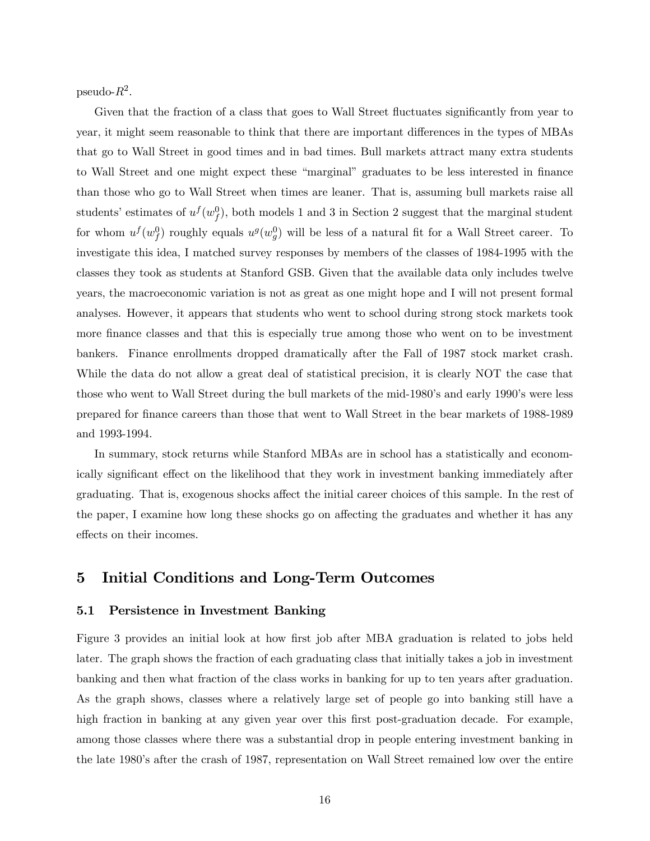pseudo- $R^2$ .

Given that the fraction of a class that goes to Wall Street fluctuates significantly from year to year, it might seem reasonable to think that there are important differences in the types of MBAs that go to Wall Street in good times and in bad times. Bull markets attract many extra students to Wall Street and one might expect these "marginal" graduates to be less interested in finance than those who go to Wall Street when times are leaner. That is, assuming bull markets raise all students' estimates of  $u^f(w_f^0)$ , both models 1 and 3 in Section 2 suggest that the marginal student for whom  $u^f(w_f^0)$  roughly equals  $u^g(w_g^0)$  will be less of a natural fit for a Wall Street career. To investigate this idea, I matched survey responses by members of the classes of 1984-1995 with the classes they took as students at Stanford GSB. Given that the available data only includes twelve years, the macroeconomic variation is not as great as one might hope and I will not present formal analyses. However, it appears that students who went to school during strong stock markets took more finance classes and that this is especially true among those who went on to be investment bankers. Finance enrollments dropped dramatically after the Fall of 1987 stock market crash. While the data do not allow a great deal of statistical precision, it is clearly NOT the case that those who went to Wall Street during the bull markets of the mid-1980's and early 1990's were less prepared for finance careers than those that went to Wall Street in the bear markets of 1988-1989 and 1993-1994.

In summary, stock returns while Stanford MBAs are in school has a statistically and economically significant effect on the likelihood that they work in investment banking immediately after graduating. That is, exogenous shocks affect the initial career choices of this sample. In the rest of the paper, I examine how long these shocks go on affecting the graduates and whether it has any effects on their incomes.

# 5 Initial Conditions and Long-Term Outcomes

#### 5.1 Persistence in Investment Banking

Figure 3 provides an initial look at how first job after MBA graduation is related to jobs held later. The graph shows the fraction of each graduating class that initially takes a job in investment banking and then what fraction of the class works in banking for up to ten years after graduation. As the graph shows, classes where a relatively large set of people go into banking still have a high fraction in banking at any given year over this first post-graduation decade. For example, among those classes where there was a substantial drop in people entering investment banking in the late 1980's after the crash of 1987, representation on Wall Street remained low over the entire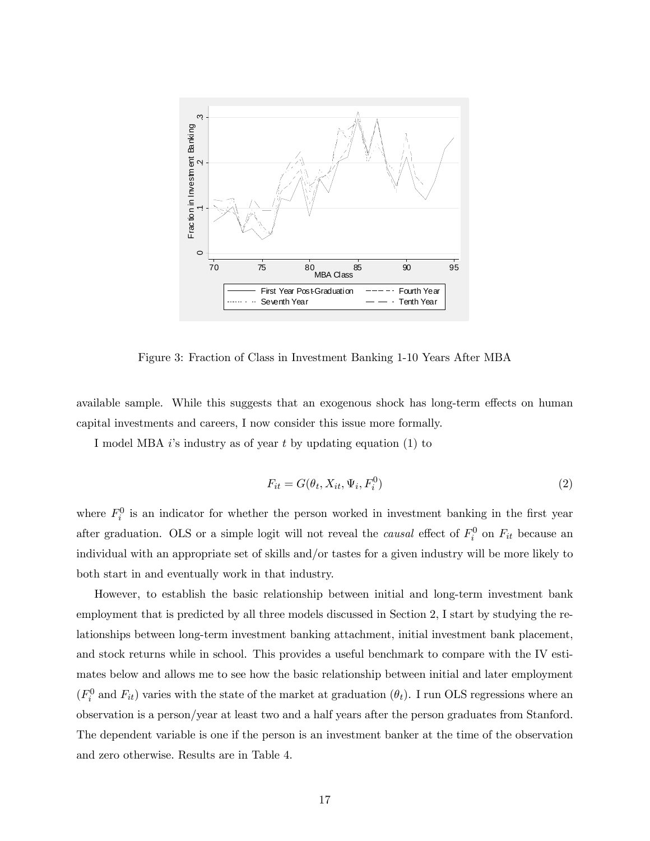

Figure 3: Fraction of Class in Investment Banking 1-10 Years After MBA

available sample. While this suggests that an exogenous shock has long-term effects on human capital investments and careers, I now consider this issue more formally.

I model MBA  $i$ 's industry as of year  $t$  by updating equation (1) to

$$
F_{it} = G(\theta_t, X_{it}, \Psi_i, F_i^0) \tag{2}
$$

where  $F_i^0$  is an indicator for whether the person worked in investment banking in the first year after graduation. OLS or a simple logit will not reveal the *causal* effect of  $F_i^0$  on  $F_{it}$  because an individual with an appropriate set of skills and/or tastes for a given industry will be more likely to both start in and eventually work in that industry.

However, to establish the basic relationship between initial and long-term investment bank employment that is predicted by all three models discussed in Section 2, I start by studying the relationships between long-term investment banking attachment, initial investment bank placement, and stock returns while in school. This provides a useful benchmark to compare with the IV estimates below and allows me to see how the basic relationship between initial and later employment  $(F_i^0 \text{ and } F_{it})$  varies with the state of the market at graduation  $(\theta_t)$ . I run OLS regressions where an observation is a person/year at least two and a half years after the person graduates from Stanford. The dependent variable is one if the person is an investment banker at the time of the observation and zero otherwise. Results are in Table 4.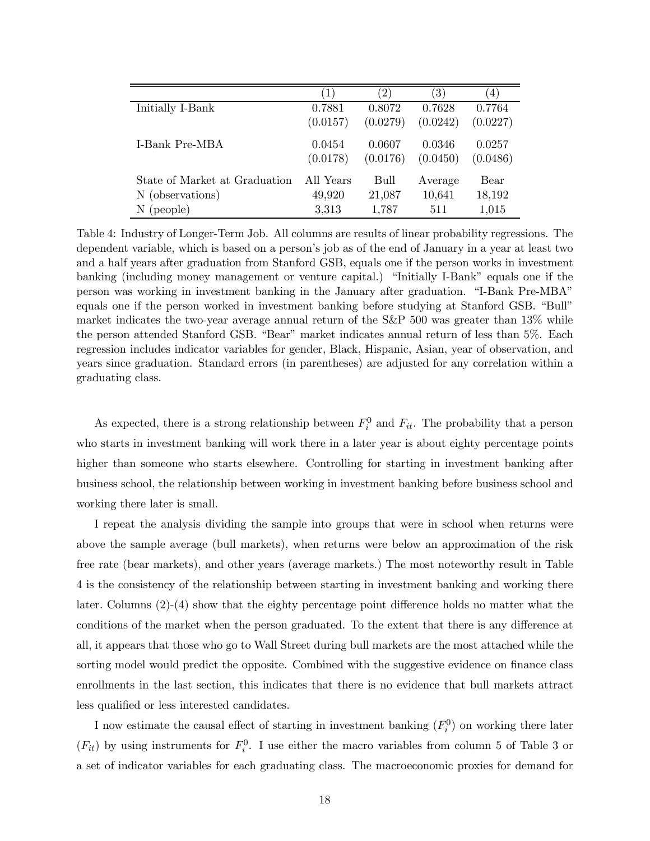|                               | $\left 1\right\rangle$ | $^{\prime}2)$ | $\left( 3\right)$ | $ 4\rangle$ |
|-------------------------------|------------------------|---------------|-------------------|-------------|
| Initially I-Bank              | 0.7881                 | 0.8072        | 0.7628            | 0.7764      |
|                               | (0.0157)               | (0.0279)      | (0.0242)          | (0.0227)    |
| <b>I-Bank Pre-MBA</b>         | 0.0454                 | 0.0607        | 0.0346            | 0.0257      |
|                               | (0.0178)               | (0.0176)      | (0.0450)          | (0.0486)    |
| State of Market at Graduation | All Years              | Bull          | Average           | Bear        |
| N (observations)              | 49,920                 | 21,087        | 10,641            | 18,192      |
| $N$ (people)                  | 3,313                  | 1,787         | 511               | 1,015       |

Table 4: Industry of Longer-Term Job. All columns are results of linear probability regressions. The dependent variable, which is based on a person's job as of the end of January in a year at least two and a half years after graduation from Stanford GSB, equals one if the person works in investment banking (including money management or venture capital.) "Initially I-Bank" equals one if the person was working in investment banking in the January after graduation. "I-Bank Pre-MBA" equals one if the person worked in investment banking before studying at Stanford GSB. "Bull" market indicates the two-year average annual return of the S&P 500 was greater than 13% while the person attended Stanford GSB. "Bear" market indicates annual return of less than 5%. Each regression includes indicator variables for gender, Black, Hispanic, Asian, year of observation, and years since graduation. Standard errors (in parentheses) are adjusted for any correlation within a graduating class.

As expected, there is a strong relationship between  $F_i^0$  and  $F_{it}$ . The probability that a person who starts in investment banking will work there in a later year is about eighty percentage points higher than someone who starts elsewhere. Controlling for starting in investment banking after business school, the relationship between working in investment banking before business school and working there later is small.

I repeat the analysis dividing the sample into groups that were in school when returns were above the sample average (bull markets), when returns were below an approximation of the risk free rate (bear markets), and other years (average markets.) The most noteworthy result in Table 4 is the consistency of the relationship between starting in investment banking and working there later. Columns (2)-(4) show that the eighty percentage point difference holds no matter what the conditions of the market when the person graduated. To the extent that there is any difference at all, it appears that those who go to Wall Street during bull markets are the most attached while the sorting model would predict the opposite. Combined with the suggestive evidence on finance class enrollments in the last section, this indicates that there is no evidence that bull markets attract less qualified or less interested candidates.

I now estimate the causal effect of starting in investment banking  $(F_i^0)$  on working there later  $(F_{it})$  by using instruments for  $F_i^0$ . I use either the macro variables from column 5 of Table 3 or a set of indicator variables for each graduating class. The macroeconomic proxies for demand for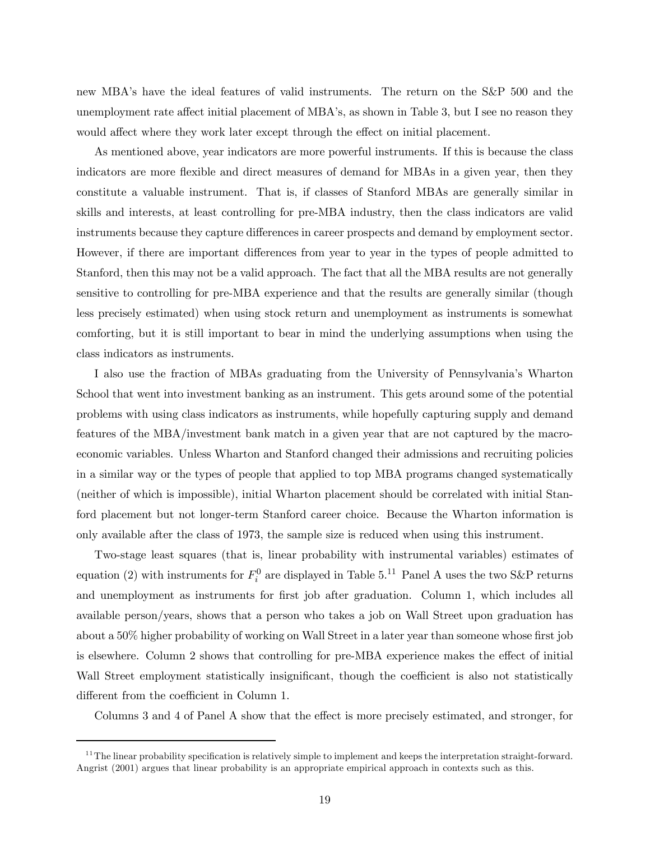new MBA's have the ideal features of valid instruments. The return on the S&P 500 and the unemployment rate affect initial placement of MBA's, as shown in Table 3, but I see no reason they would affect where they work later except through the effect on initial placement.

As mentioned above, year indicators are more powerful instruments. If this is because the class indicators are more flexible and direct measures of demand for MBAs in a given year, then they constitute a valuable instrument. That is, if classes of Stanford MBAs are generally similar in skills and interests, at least controlling for pre-MBA industry, then the class indicators are valid instruments because they capture differences in career prospects and demand by employment sector. However, if there are important differences from year to year in the types of people admitted to Stanford, then this may not be a valid approach. The fact that all the MBA results are not generally sensitive to controlling for pre-MBA experience and that the results are generally similar (though less precisely estimated) when using stock return and unemployment as instruments is somewhat comforting, but it is still important to bear in mind the underlying assumptions when using the class indicators as instruments.

I also use the fraction of MBAs graduating from the University of Pennsylvania's Wharton School that went into investment banking as an instrument. This gets around some of the potential problems with using class indicators as instruments, while hopefully capturing supply and demand features of the MBA/investment bank match in a given year that are not captured by the macroeconomic variables. Unless Wharton and Stanford changed their admissions and recruiting policies in a similar way or the types of people that applied to top MBA programs changed systematically (neither of which is impossible), initial Wharton placement should be correlated with initial Stanford placement but not longer-term Stanford career choice. Because the Wharton information is only available after the class of 1973, the sample size is reduced when using this instrument.

Two-stage least squares (that is, linear probability with instrumental variables) estimates of equation (2) with instruments for  $F_i^0$  are displayed in Table 5.<sup>11</sup> Panel A uses the two S&P returns and unemployment as instruments for first job after graduation. Column 1, which includes all available person/years, shows that a person who takes a job on Wall Street upon graduation has about a 50% higher probability of working on Wall Street in a later year than someone whose first job is elsewhere. Column 2 shows that controlling for pre-MBA experience makes the effect of initial Wall Street employment statistically insignificant, though the coefficient is also not statistically different from the coefficient in Column 1.

Columns 3 and 4 of Panel A show that the effect is more precisely estimated, and stronger, for

 $11$  The linear probability specification is relatively simple to implement and keeps the interpretation straight-forward. Angrist (2001) argues that linear probability is an appropriate empirical approach in contexts such as this.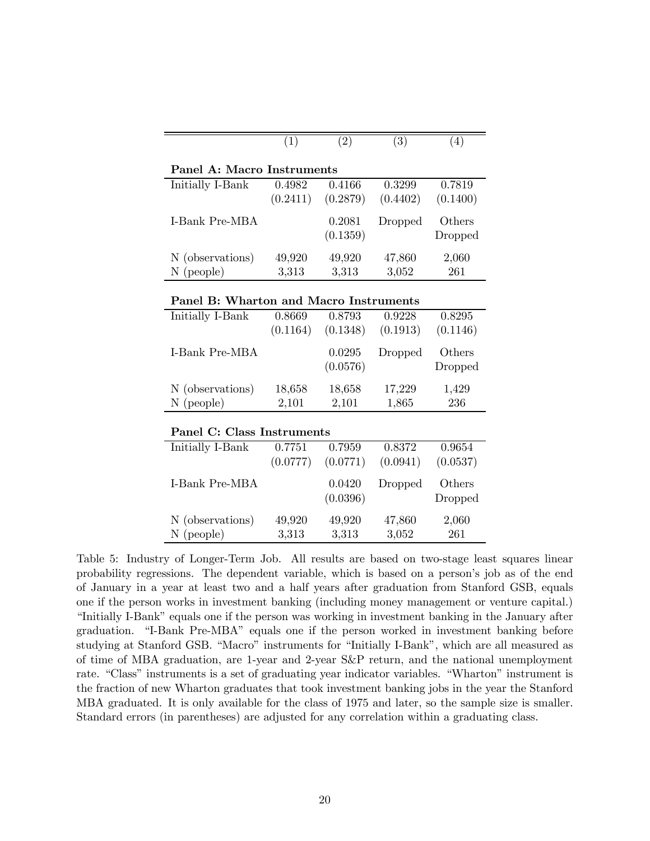|                                        | (1)      | (2)      | $\overline{(3)}$ | (4)      |  |  |  |  |
|----------------------------------------|----------|----------|------------------|----------|--|--|--|--|
| Panel A: Macro Instruments             |          |          |                  |          |  |  |  |  |
| Initially I-Bank                       | 0.4982   | 0.4166   | 0.3299           | 0.7819   |  |  |  |  |
|                                        | (0.2411) | (0.2879) | (0.4402)         | (0.1400) |  |  |  |  |
| I-Bank Pre-MBA                         |          | 0.2081   | Dropped          | Others   |  |  |  |  |
|                                        |          | (0.1359) |                  | Dropped  |  |  |  |  |
| N (observations)                       | 49,920   | 49,920   | 47,860           | 2,060    |  |  |  |  |
| $N$ (people)                           | 3,313    | 3,313    | 3,052            | 261      |  |  |  |  |
|                                        |          |          |                  |          |  |  |  |  |
| Panel B: Wharton and Macro Instruments |          |          |                  |          |  |  |  |  |
| Initially I-Bank                       | 0.8669   | 0.8793   | 0.9228           | 0.8295   |  |  |  |  |
|                                        | (0.1164) | (0.1348) | (0.1913)         | (0.1146) |  |  |  |  |
| I-Bank Pre-MBA                         |          | 0.0295   | Dropped          | Others   |  |  |  |  |
|                                        |          | (0.0576) |                  | Dropped  |  |  |  |  |
| N (observations)                       | 18,658   | 18,658   | 17,229           | 1,429    |  |  |  |  |
| $N$ (people)                           | 2,101    | 2,101    | 1,865            | 236      |  |  |  |  |
|                                        |          |          |                  |          |  |  |  |  |
| Panel C: Class Instruments             |          |          |                  |          |  |  |  |  |
| Initially I-Bank                       | 0.7751   | 0.7959   | 0.8372           | 0.9654   |  |  |  |  |
|                                        | (0.0777) | (0.0771) | (0.0941)         | (0.0537) |  |  |  |  |
| I-Bank Pre-MBA                         |          | 0.0420   | Dropped          | Others   |  |  |  |  |
|                                        |          | (0.0396) |                  | Dropped  |  |  |  |  |
| N (observations)                       | 49,920   | 49,920   | 47,860           | 2,060    |  |  |  |  |
| $N$ (people)                           | 3,313    | 3,313    | 3,052            | 261      |  |  |  |  |

Table 5: Industry of Longer-Term Job. All results are based on two-stage least squares linear probability regressions. The dependent variable, which is based on a person's job as of the end of January in a year at least two and a half years after graduation from Stanford GSB, equals one if the person works in investment banking (including money management or venture capital.) "Initially I-Bank" equals one if the person was working in investment banking in the January after graduation. "I-Bank Pre-MBA" equals one if the person worked in investment banking before studying at Stanford GSB. "Macro" instruments for "Initially I-Bank", which are all measured as of time of MBA graduation, are 1-year and 2-year S&P return, and the national unemployment rate. "Class" instruments is a set of graduating year indicator variables. "Wharton" instrument is the fraction of new Wharton graduates that took investment banking jobs in the year the Stanford MBA graduated. It is only available for the class of 1975 and later, so the sample size is smaller. Standard errors (in parentheses) are adjusted for any correlation within a graduating class.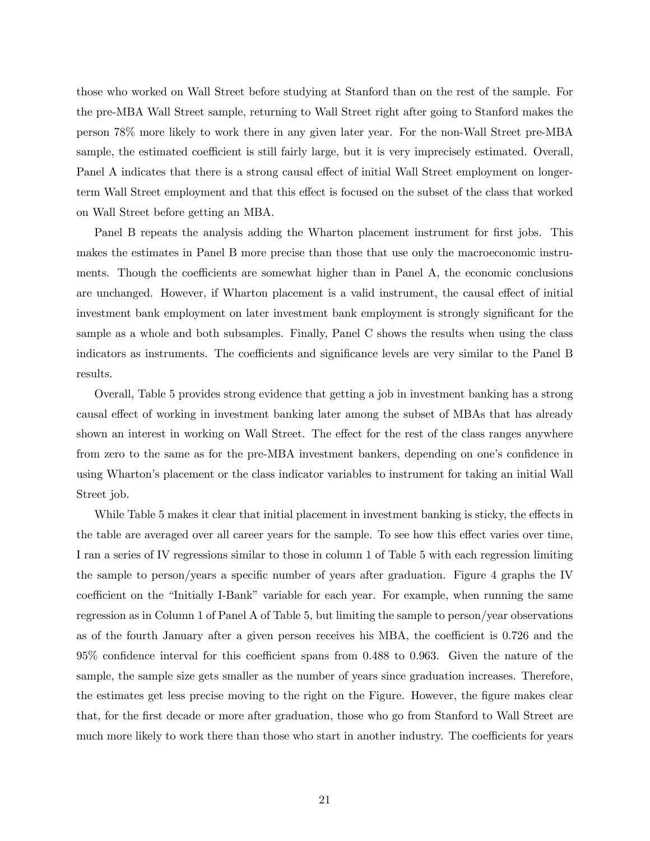those who worked on Wall Street before studying at Stanford than on the rest of the sample. For the pre-MBA Wall Street sample, returning to Wall Street right after going to Stanford makes the person 78% more likely to work there in any given later year. For the non-Wall Street pre-MBA sample, the estimated coefficient is still fairly large, but it is very imprecisely estimated. Overall, Panel A indicates that there is a strong causal effect of initial Wall Street employment on longerterm Wall Street employment and that this effect is focused on the subset of the class that worked on Wall Street before getting an MBA.

Panel B repeats the analysis adding the Wharton placement instrument for first jobs. This makes the estimates in Panel B more precise than those that use only the macroeconomic instruments. Though the coefficients are somewhat higher than in Panel A, the economic conclusions are unchanged. However, if Wharton placement is a valid instrument, the causal effect of initial investment bank employment on later investment bank employment is strongly significant for the sample as a whole and both subsamples. Finally, Panel C shows the results when using the class indicators as instruments. The coefficients and significance levels are very similar to the Panel B results.

Overall, Table 5 provides strong evidence that getting a job in investment banking has a strong causal effect of working in investment banking later among the subset of MBAs that has already shown an interest in working on Wall Street. The effect for the rest of the class ranges anywhere from zero to the same as for the pre-MBA investment bankers, depending on one's confidence in using Wharton's placement or the class indicator variables to instrument for taking an initial Wall Street job.

While Table 5 makes it clear that initial placement in investment banking is sticky, the effects in the table are averaged over all career years for the sample. To see how this effect varies over time, I ran a series of IV regressions similar to those in column 1 of Table 5 with each regression limiting the sample to person/years a specific number of years after graduation. Figure 4 graphs the IV coefficient on the "Initially I-Bank" variable for each year. For example, when running the same regression as in Column 1 of Panel A of Table 5, but limiting the sample to person/year observations as of the fourth January after a given person receives his MBA, the coefficient is 0.726 and the 95% confidence interval for this coefficient spans from 0.488 to 0.963. Given the nature of the sample, the sample size gets smaller as the number of years since graduation increases. Therefore, the estimates get less precise moving to the right on the Figure. However, the figure makes clear that, for the first decade or more after graduation, those who go from Stanford to Wall Street are much more likely to work there than those who start in another industry. The coefficients for years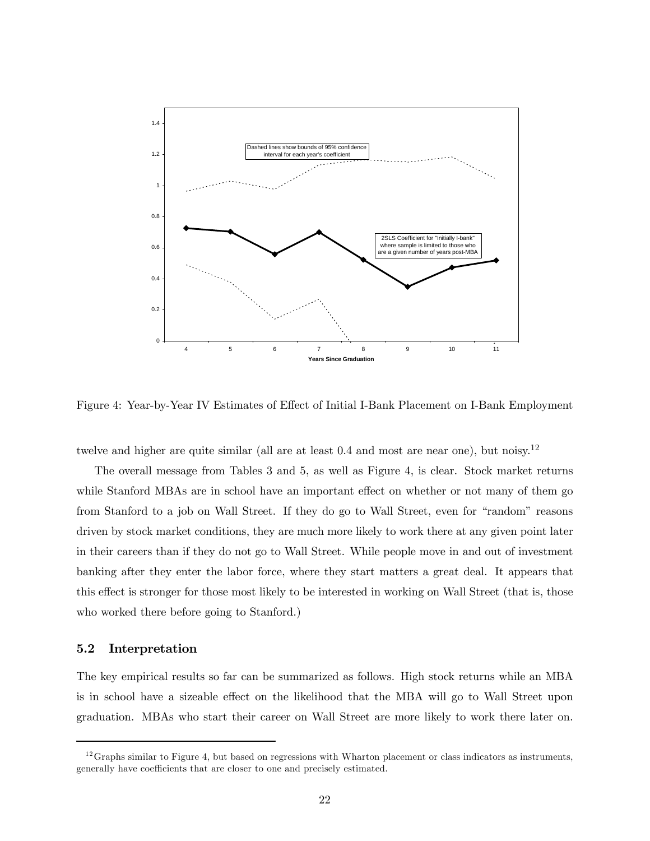

Figure 4: Year-by-Year IV Estimates of Effect of Initial I-Bank Placement on I-Bank Employment

twelve and higher are quite similar (all are at least 0.4 and most are near one), but noisy.<sup>12</sup>

The overall message from Tables 3 and 5, as well as Figure 4, is clear. Stock market returns while Stanford MBAs are in school have an important effect on whether or not many of them go from Stanford to a job on Wall Street. If they do go to Wall Street, even for "random" reasons driven by stock market conditions, they are much more likely to work there at any given point later in their careers than if they do not go to Wall Street. While people move in and out of investment banking after they enter the labor force, where they start matters a great deal. It appears that this effect is stronger for those most likely to be interested in working on Wall Street (that is, those who worked there before going to Stanford.)

#### 5.2 Interpretation

The key empirical results so far can be summarized as follows. High stock returns while an MBA is in school have a sizeable effect on the likelihood that the MBA will go to Wall Street upon graduation. MBAs who start their career on Wall Street are more likely to work there later on.

 $12$  Graphs similar to Figure 4, but based on regressions with Wharton placement or class indicators as instruments, generally have coefficients that are closer to one and precisely estimated.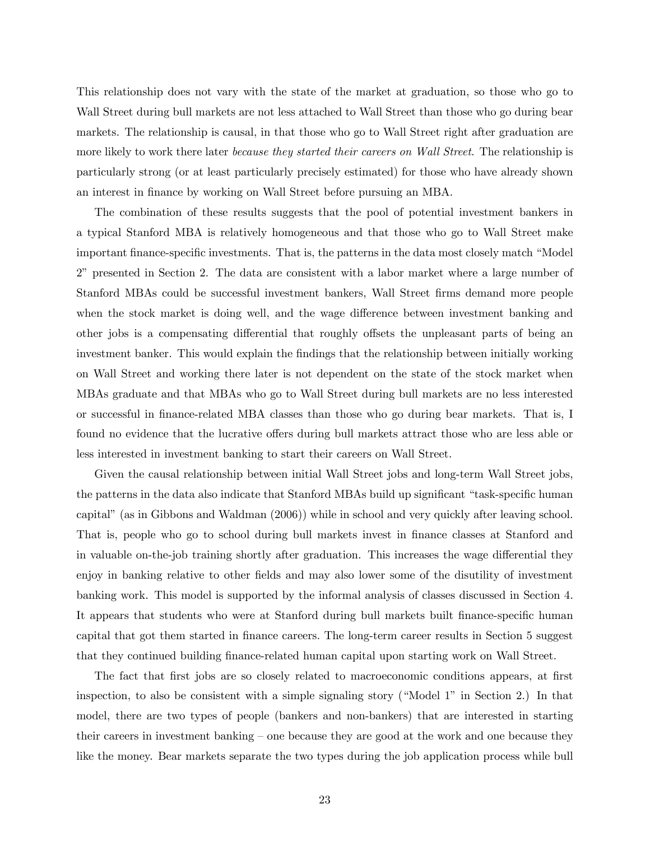This relationship does not vary with the state of the market at graduation, so those who go to Wall Street during bull markets are not less attached to Wall Street than those who go during bear markets. The relationship is causal, in that those who go to Wall Street right after graduation are more likely to work there later *because they started their careers on Wall Street*. The relationship is particularly strong (or at least particularly precisely estimated) for those who have already shown an interest in finance by working on Wall Street before pursuing an MBA.

The combination of these results suggests that the pool of potential investment bankers in a typical Stanford MBA is relatively homogeneous and that those who go to Wall Street make important finance-specific investments. That is, the patterns in the data most closely match "Model 2" presented in Section 2. The data are consistent with a labor market where a large number of Stanford MBAs could be successful investment bankers, Wall Street firms demand more people when the stock market is doing well, and the wage difference between investment banking and other jobs is a compensating differential that roughly offsets the unpleasant parts of being an investment banker. This would explain the findings that the relationship between initially working on Wall Street and working there later is not dependent on the state of the stock market when MBAs graduate and that MBAs who go to Wall Street during bull markets are no less interested or successful in finance-related MBA classes than those who go during bear markets. That is, I found no evidence that the lucrative offers during bull markets attract those who are less able or less interested in investment banking to start their careers on Wall Street.

Given the causal relationship between initial Wall Street jobs and long-term Wall Street jobs, the patterns in the data also indicate that Stanford MBAs build up significant "task-specific human capital" (as in Gibbons and Waldman (2006)) while in school and very quickly after leaving school. That is, people who go to school during bull markets invest in finance classes at Stanford and in valuable on-the-job training shortly after graduation. This increases the wage differential they enjoy in banking relative to other fields and may also lower some of the disutility of investment banking work. This model is supported by the informal analysis of classes discussed in Section 4. It appears that students who were at Stanford during bull markets built finance-specific human capital that got them started in finance careers. The long-term career results in Section 5 suggest that they continued building finance-related human capital upon starting work on Wall Street.

The fact that first jobs are so closely related to macroeconomic conditions appears, at first inspection, to also be consistent with a simple signaling story ("Model 1" in Section 2.) In that model, there are two types of people (bankers and non-bankers) that are interested in starting their careers in investment banking — one because they are good at the work and one because they like the money. Bear markets separate the two types during the job application process while bull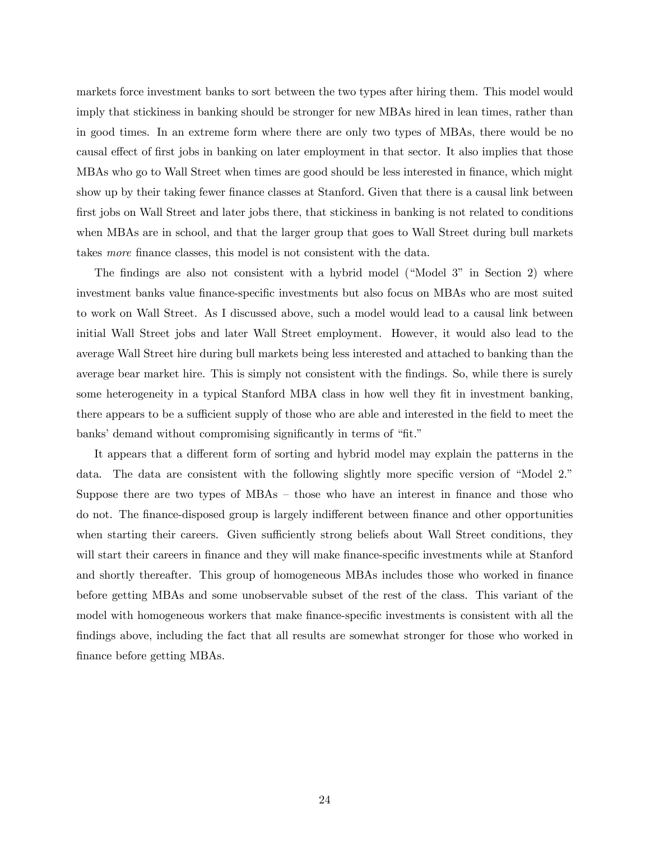markets force investment banks to sort between the two types after hiring them. This model would imply that stickiness in banking should be stronger for new MBAs hired in lean times, rather than in good times. In an extreme form where there are only two types of MBAs, there would be no causal effect of first jobs in banking on later employment in that sector. It also implies that those MBAs who go to Wall Street when times are good should be less interested in finance, which might show up by their taking fewer finance classes at Stanford. Given that there is a causal link between first jobs on Wall Street and later jobs there, that stickiness in banking is not related to conditions when MBAs are in school, and that the larger group that goes to Wall Street during bull markets takes more finance classes, this model is not consistent with the data.

The findings are also not consistent with a hybrid model ("Model 3" in Section 2) where investment banks value finance-specific investments but also focus on MBAs who are most suited to work on Wall Street. As I discussed above, such a model would lead to a causal link between initial Wall Street jobs and later Wall Street employment. However, it would also lead to the average Wall Street hire during bull markets being less interested and attached to banking than the average bear market hire. This is simply not consistent with the findings. So, while there is surely some heterogeneity in a typical Stanford MBA class in how well they fit in investment banking, there appears to be a sufficient supply of those who are able and interested in the field to meet the banks' demand without compromising significantly in terms of "fit."

It appears that a different form of sorting and hybrid model may explain the patterns in the data. The data are consistent with the following slightly more specific version of "Model 2." Suppose there are two types of MBAs — those who have an interest in finance and those who do not. The finance-disposed group is largely indifferent between finance and other opportunities when starting their careers. Given sufficiently strong beliefs about Wall Street conditions, they will start their careers in finance and they will make finance-specific investments while at Stanford and shortly thereafter. This group of homogeneous MBAs includes those who worked in finance before getting MBAs and some unobservable subset of the rest of the class. This variant of the model with homogeneous workers that make finance-specific investments is consistent with all the findings above, including the fact that all results are somewhat stronger for those who worked in finance before getting MBAs.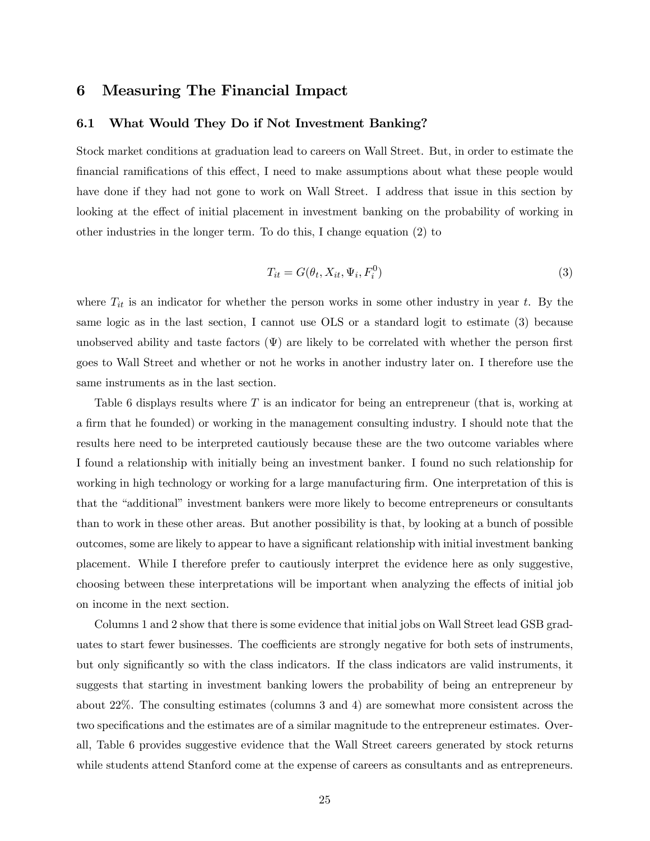### 6 Measuring The Financial Impact

#### 6.1 What Would They Do if Not Investment Banking?

Stock market conditions at graduation lead to careers on Wall Street. But, in order to estimate the financial ramifications of this effect, I need to make assumptions about what these people would have done if they had not gone to work on Wall Street. I address that issue in this section by looking at the effect of initial placement in investment banking on the probability of working in other industries in the longer term. To do this, I change equation (2) to

$$
T_{it} = G(\theta_t, X_{it}, \Psi_i, F_i^0) \tag{3}
$$

where  $T_{it}$  is an indicator for whether the person works in some other industry in year t. By the same logic as in the last section, I cannot use OLS or a standard logit to estimate (3) because unobserved ability and taste factors  $(\Psi)$  are likely to be correlated with whether the person first goes to Wall Street and whether or not he works in another industry later on. I therefore use the same instruments as in the last section.

Table 6 displays results where T is an indicator for being an entrepreneur (that is, working at a firm that he founded) or working in the management consulting industry. I should note that the results here need to be interpreted cautiously because these are the two outcome variables where I found a relationship with initially being an investment banker. I found no such relationship for working in high technology or working for a large manufacturing firm. One interpretation of this is that the "additional" investment bankers were more likely to become entrepreneurs or consultants than to work in these other areas. But another possibility is that, by looking at a bunch of possible outcomes, some are likely to appear to have a significant relationship with initial investment banking placement. While I therefore prefer to cautiously interpret the evidence here as only suggestive, choosing between these interpretations will be important when analyzing the effects of initial job on income in the next section.

Columns 1 and 2 show that there is some evidence that initial jobs on Wall Street lead GSB graduates to start fewer businesses. The coefficients are strongly negative for both sets of instruments, but only significantly so with the class indicators. If the class indicators are valid instruments, it suggests that starting in investment banking lowers the probability of being an entrepreneur by about 22%. The consulting estimates (columns 3 and 4) are somewhat more consistent across the two specifications and the estimates are of a similar magnitude to the entrepreneur estimates. Overall, Table 6 provides suggestive evidence that the Wall Street careers generated by stock returns while students attend Stanford come at the expense of careers as consultants and as entrepreneurs.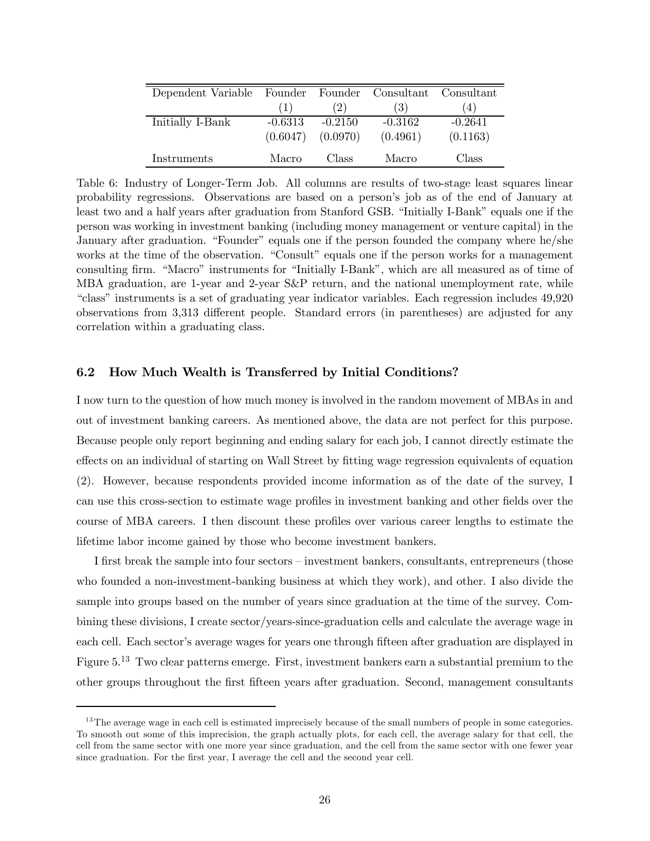| Dependent Variable Founder Founder Consultant Consultant |           |           |           |           |
|----------------------------------------------------------|-----------|-----------|-----------|-----------|
|                                                          | (1)       | (2)       | (3)       | (4)       |
| Initially I-Bank                                         | $-0.6313$ | $-0.2150$ | $-0.3162$ | $-0.2641$ |
|                                                          | (0.6047)  | (0.0970)  | (0.4961)  | (0.1163)  |
| Instruments                                              | Macro     | Class     | Macro     | Class     |

Table 6: Industry of Longer-Term Job. All columns are results of two-stage least squares linear probability regressions. Observations are based on a person's job as of the end of January at least two and a half years after graduation from Stanford GSB. "Initially I-Bank" equals one if the person was working in investment banking (including money management or venture capital) in the January after graduation. "Founder" equals one if the person founded the company where he/she works at the time of the observation. "Consult" equals one if the person works for a management consulting firm. "Macro" instruments for "Initially I-Bank", which are all measured as of time of MBA graduation, are 1-year and 2-year S&P return, and the national unemployment rate, while "class" instruments is a set of graduating year indicator variables. Each regression includes 49,920 observations from 3,313 different people. Standard errors (in parentheses) are adjusted for any correlation within a graduating class.

#### 6.2 How Much Wealth is Transferred by Initial Conditions?

I now turn to the question of how much money is involved in the random movement of MBAs in and out of investment banking careers. As mentioned above, the data are not perfect for this purpose. Because people only report beginning and ending salary for each job, I cannot directly estimate the effects on an individual of starting on Wall Street by fitting wage regression equivalents of equation (2). However, because respondents provided income information as of the date of the survey, I can use this cross-section to estimate wage profiles in investment banking and other fields over the course of MBA careers. I then discount these profiles over various career lengths to estimate the lifetime labor income gained by those who become investment bankers.

I first break the sample into four sectors — investment bankers, consultants, entrepreneurs (those who founded a non-investment-banking business at which they work), and other. I also divide the sample into groups based on the number of years since graduation at the time of the survey. Combining these divisions, I create sector/years-since-graduation cells and calculate the average wage in each cell. Each sector's average wages for years one through fifteen after graduation are displayed in Figure 5.<sup>13</sup> Two clear patterns emerge. First, investment bankers earn a substantial premium to the other groups throughout the first fifteen years after graduation. Second, management consultants

<sup>&</sup>lt;sup>13</sup>The average wage in each cell is estimated imprecisely because of the small numbers of people in some categories. To smooth out some of this imprecision, the graph actually plots, for each cell, the average salary for that cell, the cell from the same sector with one more year since graduation, and the cell from the same sector with one fewer year since graduation. For the first year, I average the cell and the second year cell.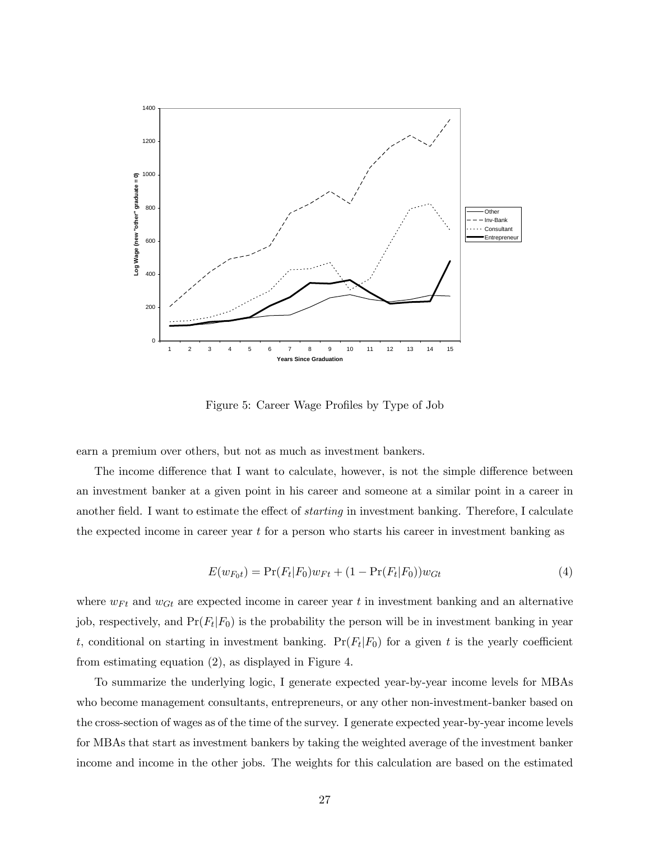

Figure 5: Career Wage Profiles by Type of Job

earn a premium over others, but not as much as investment bankers.

The income difference that I want to calculate, however, is not the simple difference between an investment banker at a given point in his career and someone at a similar point in a career in another field. I want to estimate the effect of starting in investment banking. Therefore, I calculate the expected income in career year  $t$  for a person who starts his career in investment banking as

$$
E(w_{F_0t}) = \Pr(F_t|F_0)w_{Ft} + (1 - \Pr(F_t|F_0))w_{Gt}
$$
\n(4)

where  $w_{Ft}$  and  $w_{Gt}$  are expected income in career year t in investment banking and an alternative job, respectively, and  $Pr(F_t|F_0)$  is the probability the person will be in investment banking in year t, conditional on starting in investment banking.  $Pr(F_t|F_0)$  for a given t is the yearly coefficient from estimating equation (2), as displayed in Figure 4.

To summarize the underlying logic, I generate expected year-by-year income levels for MBAs who become management consultants, entrepreneurs, or any other non-investment-banker based on the cross-section of wages as of the time of the survey. I generate expected year-by-year income levels for MBAs that start as investment bankers by taking the weighted average of the investment banker income and income in the other jobs. The weights for this calculation are based on the estimated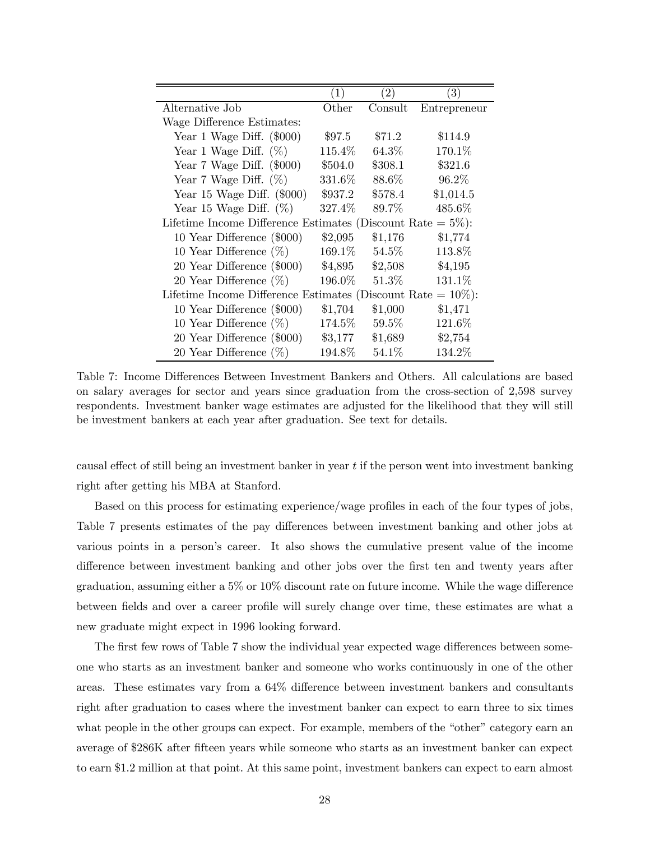|                                                                 | (1)              | $\left( 2\right)$ | $\left( 3\right)$ |
|-----------------------------------------------------------------|------------------|-------------------|-------------------|
| Alternative Job                                                 | $\mathrm{Other}$ | Consult           | Entrepreneur      |
| Wage Difference Estimates:                                      |                  |                   |                   |
| Year 1 Wage Diff. $(\$000)$                                     | \$97.5           | \$71.2            | \$114.9           |
| Year 1 Wage Diff. $(\%)$                                        | 115.4%           | $64.3\%$          | 170.1%            |
| Year 7 Wage Diff. $(\$000)$                                     | \$504.0          | \$308.1           | \$321.6           |
| Year 7 Wage Diff. $(\%)$                                        | 331.6%           | 88.6%             | 96.2%             |
| Year 15 Wage Diff. $(\$000)$                                    | \$937.2          | \$578.4           | \$1,014.5         |
| Year 15 Wage Diff. $(\%)$                                       | 327.4%           | 89.7%             | 485.6%            |
| Lifetime Income Difference Estimates (Discount Rate $= 5\%$ ):  |                  |                   |                   |
| 10 Year Difference (\$000)                                      | \$2,095          | \$1,176           | \$1,774           |
| 10 Year Difference $(\%)$                                       | $169.1\%$        | $54.5\%$          | 113.8%            |
| 20 Year Difference (\$000)                                      | \$4,895          | \$2,508           | \$4,195           |
| 20 Year Difference $(\%)$                                       | 196.0%           | $51.3\%$          | 131.1%            |
| Lifetime Income Difference Estimates (Discount Rate $= 10\%$ ): |                  |                   |                   |
| 10 Year Difference (\$000)                                      | \$1,704          | \$1,000           | \$1,471           |
| 10 Year Difference $(\%)$                                       | 174.5%           | $59.5\%$          | 121.6%            |
| 20 Year Difference (\$000)                                      | $\$3,177$        | \$1,689           | \$2,754           |
| 20 Year Difference $(\%)$                                       | 194.8%           | 54.1%             | 134.2%            |

Table 7: Income Differences Between Investment Bankers and Others. All calculations are based on salary averages for sector and years since graduation from the cross-section of 2,598 survey respondents. Investment banker wage estimates are adjusted for the likelihood that they will still be investment bankers at each year after graduation. See text for details.

causal effect of still being an investment banker in year  $t$  if the person went into investment banking right after getting his MBA at Stanford.

Based on this process for estimating experience/wage profiles in each of the four types of jobs, Table 7 presents estimates of the pay differences between investment banking and other jobs at various points in a person's career. It also shows the cumulative present value of the income difference between investment banking and other jobs over the first ten and twenty years after graduation, assuming either a 5% or 10% discount rate on future income. While the wage difference between fields and over a career profile will surely change over time, these estimates are what a new graduate might expect in 1996 looking forward.

The first few rows of Table 7 show the individual year expected wage differences between someone who starts as an investment banker and someone who works continuously in one of the other areas. These estimates vary from a 64% difference between investment bankers and consultants right after graduation to cases where the investment banker can expect to earn three to six times what people in the other groups can expect. For example, members of the "other" category earn an average of \$286K after fifteen years while someone who starts as an investment banker can expect to earn \$1.2 million at that point. At this same point, investment bankers can expect to earn almost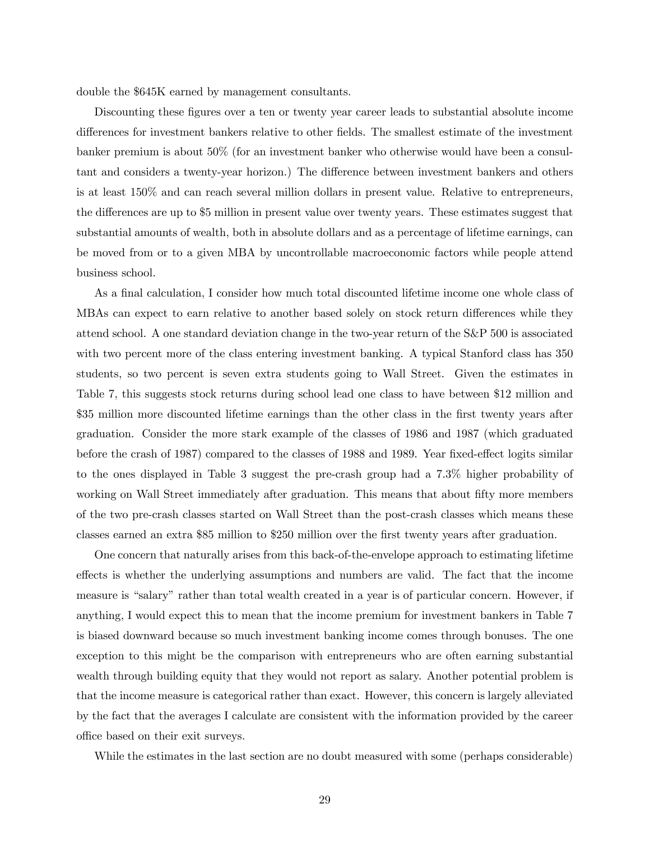double the \$645K earned by management consultants.

Discounting these figures over a ten or twenty year career leads to substantial absolute income differences for investment bankers relative to other fields. The smallest estimate of the investment banker premium is about 50% (for an investment banker who otherwise would have been a consultant and considers a twenty-year horizon.) The difference between investment bankers and others is at least 150% and can reach several million dollars in present value. Relative to entrepreneurs, the differences are up to \$5 million in present value over twenty years. These estimates suggest that substantial amounts of wealth, both in absolute dollars and as a percentage of lifetime earnings, can be moved from or to a given MBA by uncontrollable macroeconomic factors while people attend business school.

As a final calculation, I consider how much total discounted lifetime income one whole class of MBAs can expect to earn relative to another based solely on stock return differences while they attend school. A one standard deviation change in the two-year return of the S&P 500 is associated with two percent more of the class entering investment banking. A typical Stanford class has 350 students, so two percent is seven extra students going to Wall Street. Given the estimates in Table 7, this suggests stock returns during school lead one class to have between \$12 million and \$35 million more discounted lifetime earnings than the other class in the first twenty years after graduation. Consider the more stark example of the classes of 1986 and 1987 (which graduated before the crash of 1987) compared to the classes of 1988 and 1989. Year fixed-effect logits similar to the ones displayed in Table 3 suggest the pre-crash group had a 7.3% higher probability of working on Wall Street immediately after graduation. This means that about fifty more members of the two pre-crash classes started on Wall Street than the post-crash classes which means these classes earned an extra \$85 million to \$250 million over the first twenty years after graduation.

One concern that naturally arises from this back-of-the-envelope approach to estimating lifetime effects is whether the underlying assumptions and numbers are valid. The fact that the income measure is "salary" rather than total wealth created in a year is of particular concern. However, if anything, I would expect this to mean that the income premium for investment bankers in Table 7 is biased downward because so much investment banking income comes through bonuses. The one exception to this might be the comparison with entrepreneurs who are often earning substantial wealth through building equity that they would not report as salary. Another potential problem is that the income measure is categorical rather than exact. However, this concern is largely alleviated by the fact that the averages I calculate are consistent with the information provided by the career office based on their exit surveys.

While the estimates in the last section are no doubt measured with some (perhaps considerable)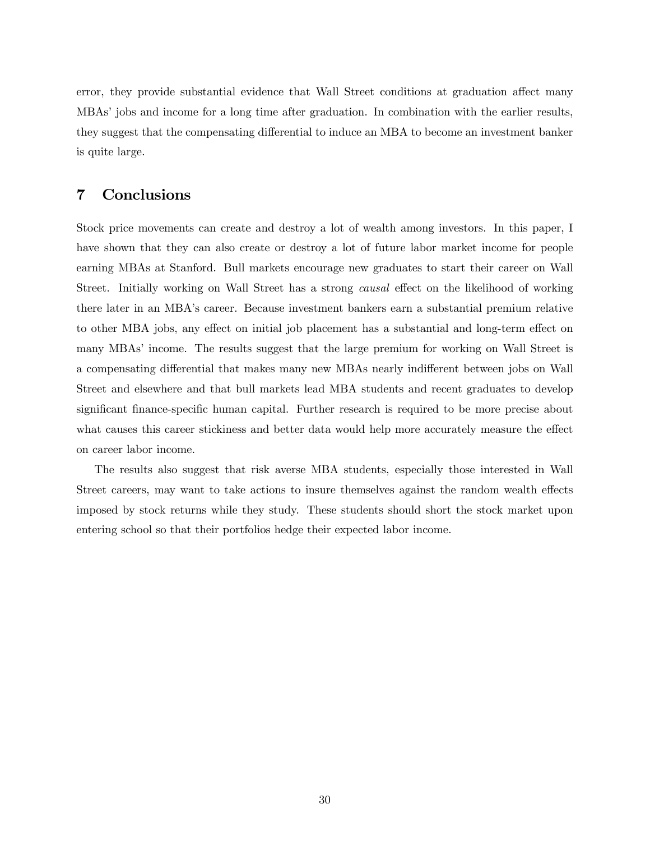error, they provide substantial evidence that Wall Street conditions at graduation affect many MBAs' jobs and income for a long time after graduation. In combination with the earlier results, they suggest that the compensating differential to induce an MBA to become an investment banker is quite large.

# 7 Conclusions

Stock price movements can create and destroy a lot of wealth among investors. In this paper, I have shown that they can also create or destroy a lot of future labor market income for people earning MBAs at Stanford. Bull markets encourage new graduates to start their career on Wall Street. Initially working on Wall Street has a strong causal effect on the likelihood of working there later in an MBA's career. Because investment bankers earn a substantial premium relative to other MBA jobs, any effect on initial job placement has a substantial and long-term effect on many MBAs' income. The results suggest that the large premium for working on Wall Street is a compensating differential that makes many new MBAs nearly indifferent between jobs on Wall Street and elsewhere and that bull markets lead MBA students and recent graduates to develop significant finance-specific human capital. Further research is required to be more precise about what causes this career stickiness and better data would help more accurately measure the effect on career labor income.

The results also suggest that risk averse MBA students, especially those interested in Wall Street careers, may want to take actions to insure themselves against the random wealth effects imposed by stock returns while they study. These students should short the stock market upon entering school so that their portfolios hedge their expected labor income.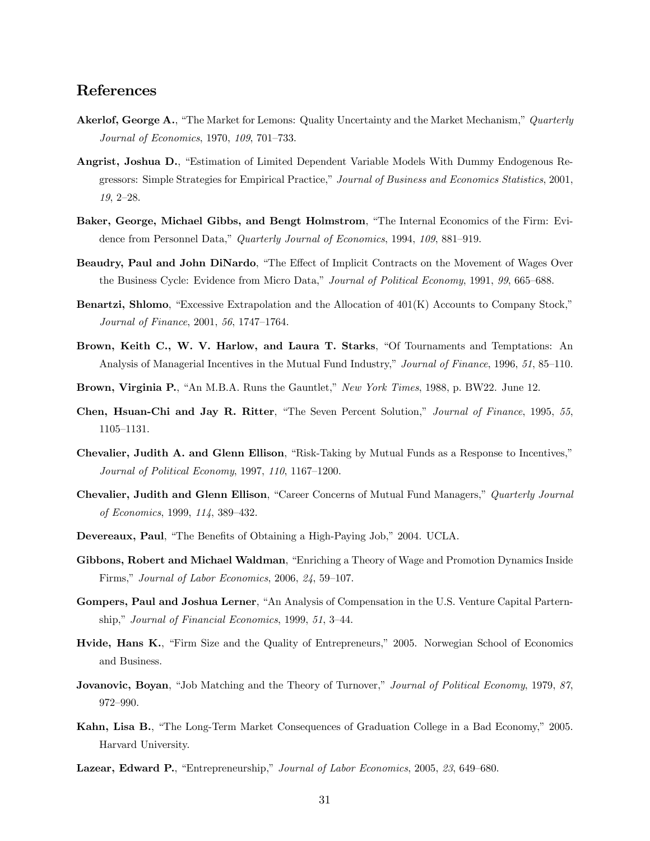# References

- Akerlof, George A., "The Market for Lemons: Quality Uncertainty and the Market Mechanism," Quarterly Journal of Economics, 1970, 109, 701—733.
- Angrist, Joshua D., "Estimation of Limited Dependent Variable Models With Dummy Endogenous Regressors: Simple Strategies for Empirical Practice," Journal of Business and Economics Statistics, 2001, 19, 2—28.
- Baker, George, Michael Gibbs, and Bengt Holmstrom, "The Internal Economics of the Firm: Evidence from Personnel Data," Quarterly Journal of Economics, 1994, 109, 881—919.
- Beaudry, Paul and John DiNardo, "The Effect of Implicit Contracts on the Movement of Wages Over the Business Cycle: Evidence from Micro Data," Journal of Political Economy, 1991, 99, 665–688.
- Benartzi, Shlomo, "Excessive Extrapolation and the Allocation of 401(K) Accounts to Company Stock," Journal of Finance, 2001, 56, 1747—1764.
- Brown, Keith C., W. V. Harlow, and Laura T. Starks, "Of Tournaments and Temptations: An Analysis of Managerial Incentives in the Mutual Fund Industry," Journal of Finance, 1996, 51, 85–110.
- Brown, Virginia P., "An M.B.A. Runs the Gauntlet," New York Times, 1988, p. BW22. June 12.
- Chen, Hsuan-Chi and Jay R. Ritter, "The Seven Percent Solution," Journal of Finance, 1995, 55, 1105—1131.
- Chevalier, Judith A. and Glenn Ellison, "Risk-Taking by Mutual Funds as a Response to Incentives," Journal of Political Economy, 1997, 110, 1167—1200.
- Chevalier, Judith and Glenn Ellison, "Career Concerns of Mutual Fund Managers," Quarterly Journal of Economics, 1999, 114, 389—432.
- Devereaux, Paul, "The Benefits of Obtaining a High-Paying Job," 2004. UCLA.
- Gibbons, Robert and Michael Waldman, "Enriching a Theory of Wage and Promotion Dynamics Inside Firms," Journal of Labor Economics, 2006, 24, 59—107.
- Gompers, Paul and Joshua Lerner, "An Analysis of Compensation in the U.S. Venture Capital Parternship," Journal of Financial Economics, 1999, 51, 3—44.
- Hvide, Hans K., "Firm Size and the Quality of Entrepreneurs," 2005. Norwegian School of Economics and Business.
- Jovanovic, Boyan, "Job Matching and the Theory of Turnover," Journal of Political Economy, 1979, 87, 972—990.
- Kahn, Lisa B., "The Long-Term Market Consequences of Graduation College in a Bad Economy," 2005. Harvard University.
- Lazear, Edward P., "Entrepreneurship," Journal of Labor Economics, 2005, 23, 649—680.